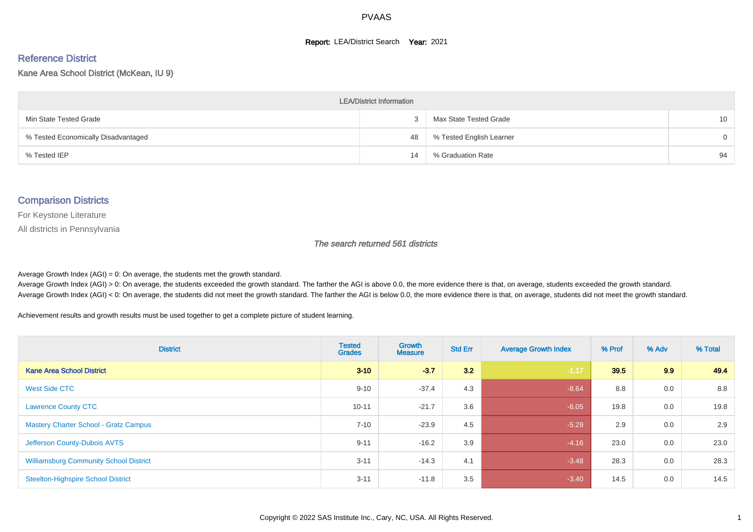#### **Report: LEA/District Search Year: 2021**

# Reference District

#### Kane Area School District (McKean, IU 9)

| <b>LEA/District Information</b>     |    |                          |          |  |  |  |  |  |  |  |
|-------------------------------------|----|--------------------------|----------|--|--|--|--|--|--|--|
| Min State Tested Grade              |    | Max State Tested Grade   | 10       |  |  |  |  |  |  |  |
| % Tested Economically Disadvantaged | 48 | % Tested English Learner | $\Omega$ |  |  |  |  |  |  |  |
| % Tested IEP                        | 14 | % Graduation Rate        | 94       |  |  |  |  |  |  |  |

#### Comparison Districts

For Keystone Literature

All districts in Pennsylvania

The search returned 561 districts

Average Growth Index  $(AGI) = 0$ : On average, the students met the growth standard.

Average Growth Index (AGI) > 0: On average, the students exceeded the growth standard. The farther the AGI is above 0.0, the more evidence there is that, on average, students exceeded the growth standard. Average Growth Index (AGI) < 0: On average, the students did not meet the growth standard. The farther the AGI is below 0.0, the more evidence there is that, on average, students did not meet the growth standard.

Achievement results and growth results must be used together to get a complete picture of student learning.

| <b>District</b>                               | <b>Tested</b><br><b>Grades</b> | Growth<br><b>Measure</b> | <b>Std Err</b> | <b>Average Growth Index</b> | % Prof | % Adv | % Total |
|-----------------------------------------------|--------------------------------|--------------------------|----------------|-----------------------------|--------|-------|---------|
| <b>Kane Area School District</b>              | $3 - 10$                       | $-3.7$                   | 3.2            | $-1.17$                     | 39.5   | 9.9   | 49.4    |
| West Side CTC                                 | $9 - 10$                       | $-37.4$                  | 4.3            | $-8.64$                     | 8.8    | 0.0   | 8.8     |
| <b>Lawrence County CTC</b>                    | $10 - 11$                      | $-21.7$                  | 3.6            | $-6.05$                     | 19.8   | 0.0   | 19.8    |
| <b>Mastery Charter School - Gratz Campus</b>  | $7 - 10$                       | $-23.9$                  | 4.5            | $-5.29$                     | 2.9    | 0.0   | 2.9     |
| Jefferson County-Dubois AVTS                  | $9 - 11$                       | $-16.2$                  | 3.9            | $-4.16$                     | 23.0   | 0.0   | 23.0    |
| <b>Williamsburg Community School District</b> | $3 - 11$                       | $-14.3$                  | 4.1            | $-3.48$                     | 28.3   | 0.0   | 28.3    |
| <b>Steelton-Highspire School District</b>     | $3 - 11$                       | $-11.8$                  | 3.5            | $-3.40$                     | 14.5   | 0.0   | 14.5    |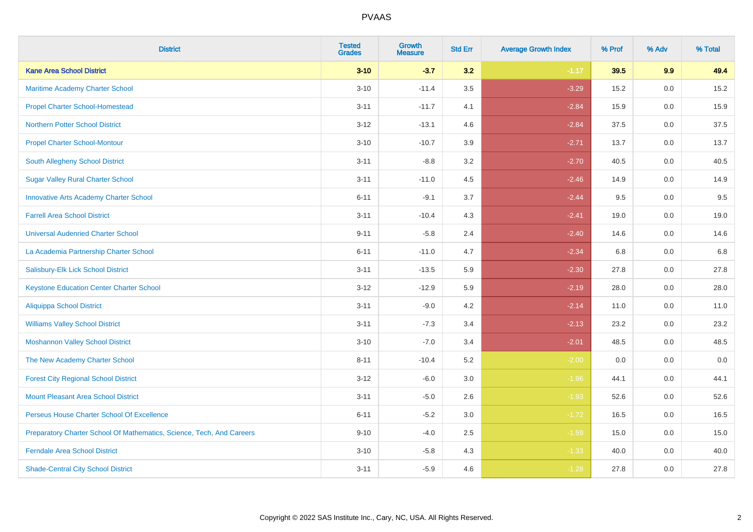| <b>District</b>                                                       | <b>Tested</b><br><b>Grades</b> | <b>Growth</b><br><b>Measure</b> | <b>Std Err</b> | <b>Average Growth Index</b> | % Prof | % Adv   | % Total |
|-----------------------------------------------------------------------|--------------------------------|---------------------------------|----------------|-----------------------------|--------|---------|---------|
| <b>Kane Area School District</b>                                      | $3 - 10$                       | $-3.7$                          | 3.2            | $-1.17$                     | 39.5   | 9.9     | 49.4    |
| Maritime Academy Charter School                                       | $3 - 10$                       | $-11.4$                         | 3.5            | $-3.29$                     | 15.2   | 0.0     | 15.2    |
| <b>Propel Charter School-Homestead</b>                                | $3 - 11$                       | $-11.7$                         | 4.1            | $-2.84$                     | 15.9   | 0.0     | 15.9    |
| <b>Northern Potter School District</b>                                | $3 - 12$                       | $-13.1$                         | 4.6            | $-2.84$                     | 37.5   | 0.0     | 37.5    |
| <b>Propel Charter School-Montour</b>                                  | $3 - 10$                       | $-10.7$                         | 3.9            | $-2.71$                     | 13.7   | 0.0     | 13.7    |
| South Allegheny School District                                       | $3 - 11$                       | $-8.8$                          | 3.2            | $-2.70$                     | 40.5   | 0.0     | 40.5    |
| <b>Sugar Valley Rural Charter School</b>                              | $3 - 11$                       | $-11.0$                         | 4.5            | $-2.46$                     | 14.9   | 0.0     | 14.9    |
| <b>Innovative Arts Academy Charter School</b>                         | $6 - 11$                       | $-9.1$                          | 3.7            | $-2.44$                     | 9.5    | 0.0     | 9.5     |
| <b>Farrell Area School District</b>                                   | $3 - 11$                       | $-10.4$                         | 4.3            | $-2.41$                     | 19.0   | 0.0     | 19.0    |
| <b>Universal Audenried Charter School</b>                             | $9 - 11$                       | $-5.8$                          | 2.4            | $-2.40$                     | 14.6   | 0.0     | 14.6    |
| La Academia Partnership Charter School                                | $6 - 11$                       | $-11.0$                         | 4.7            | $-2.34$                     | 6.8    | 0.0     | 6.8     |
| Salisbury-Elk Lick School District                                    | $3 - 11$                       | $-13.5$                         | 5.9            | $-2.30$                     | 27.8   | 0.0     | 27.8    |
| <b>Keystone Education Center Charter School</b>                       | $3 - 12$                       | $-12.9$                         | 5.9            | $-2.19$                     | 28.0   | 0.0     | 28.0    |
| <b>Aliquippa School District</b>                                      | $3 - 11$                       | $-9.0$                          | 4.2            | $-2.14$                     | 11.0   | 0.0     | 11.0    |
| <b>Williams Valley School District</b>                                | $3 - 11$                       | $-7.3$                          | 3.4            | $-2.13$                     | 23.2   | 0.0     | 23.2    |
| <b>Moshannon Valley School District</b>                               | $3 - 10$                       | $-7.0$                          | 3.4            | $-2.01$                     | 48.5   | $0.0\,$ | 48.5    |
| The New Academy Charter School                                        | $8 - 11$                       | $-10.4$                         | 5.2            | $-2.00$                     | 0.0    | 0.0     | 0.0     |
| <b>Forest City Regional School District</b>                           | $3 - 12$                       | $-6.0$                          | 3.0            | $-1.96$                     | 44.1   | 0.0     | 44.1    |
| <b>Mount Pleasant Area School District</b>                            | $3 - 11$                       | $-5.0$                          | 2.6            | $-1.93$                     | 52.6   | 0.0     | 52.6    |
| Perseus House Charter School Of Excellence                            | $6 - 11$                       | $-5.2$                          | 3.0            | $-1.72$                     | 16.5   | 0.0     | 16.5    |
| Preparatory Charter School Of Mathematics, Science, Tech, And Careers | $9 - 10$                       | $-4.0$                          | 2.5            | $-1.59$                     | 15.0   | 0.0     | 15.0    |
| <b>Ferndale Area School District</b>                                  | $3 - 10$                       | $-5.8$                          | 4.3            | $-1.33$                     | 40.0   | 0.0     | 40.0    |
| <b>Shade-Central City School District</b>                             | $3 - 11$                       | $-5.9$                          | 4.6            | $-1.28$                     | 27.8   | 0.0     | 27.8    |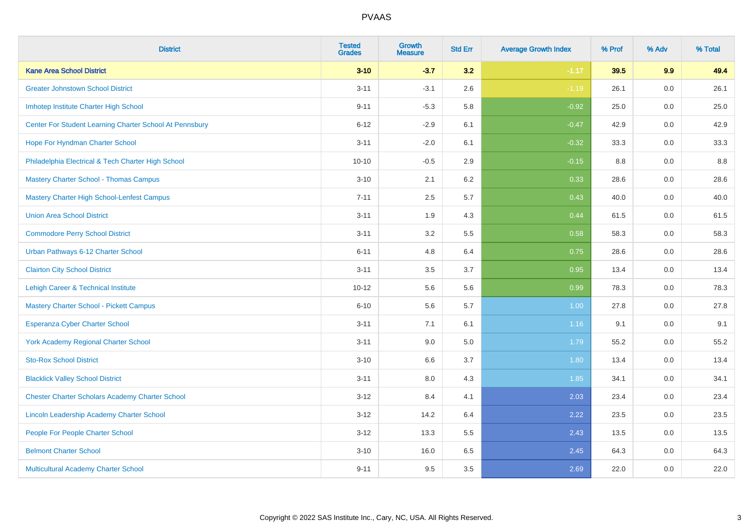| <b>District</b>                                         | <b>Tested</b><br><b>Grades</b> | <b>Growth</b><br><b>Measure</b> | <b>Std Err</b> | <b>Average Growth Index</b> | % Prof | % Adv   | % Total |
|---------------------------------------------------------|--------------------------------|---------------------------------|----------------|-----------------------------|--------|---------|---------|
| <b>Kane Area School District</b>                        | $3 - 10$                       | $-3.7$                          | 3.2            | $-1.17$                     | 39.5   | 9.9     | 49.4    |
| <b>Greater Johnstown School District</b>                | $3 - 11$                       | $-3.1$                          | 2.6            | $-1.19$                     | 26.1   | $0.0\,$ | 26.1    |
| Imhotep Institute Charter High School                   | $9 - 11$                       | $-5.3$                          | 5.8            | $-0.92$                     | 25.0   | 0.0     | 25.0    |
| Center For Student Learning Charter School At Pennsbury | $6 - 12$                       | $-2.9$                          | 6.1            | $-0.47$                     | 42.9   | 0.0     | 42.9    |
| Hope For Hyndman Charter School                         | $3 - 11$                       | $-2.0$                          | 6.1            | $-0.32$                     | 33.3   | 0.0     | 33.3    |
| Philadelphia Electrical & Tech Charter High School      | $10 - 10$                      | $-0.5$                          | 2.9            | $-0.15$                     | 8.8    | 0.0     | 8.8     |
| <b>Mastery Charter School - Thomas Campus</b>           | $3 - 10$                       | 2.1                             | 6.2            | 0.33                        | 28.6   | 0.0     | 28.6    |
| <b>Mastery Charter High School-Lenfest Campus</b>       | $7 - 11$                       | 2.5                             | 5.7            | 0.43                        | 40.0   | 0.0     | 40.0    |
| <b>Union Area School District</b>                       | $3 - 11$                       | 1.9                             | 4.3            | 0.44                        | 61.5   | 0.0     | 61.5    |
| <b>Commodore Perry School District</b>                  | $3 - 11$                       | 3.2                             | 5.5            | 0.58                        | 58.3   | 0.0     | 58.3    |
| Urban Pathways 6-12 Charter School                      | $6 - 11$                       | 4.8                             | 6.4            | 0.75                        | 28.6   | 0.0     | 28.6    |
| <b>Clairton City School District</b>                    | $3 - 11$                       | 3.5                             | 3.7            | 0.95                        | 13.4   | 0.0     | 13.4    |
| Lehigh Career & Technical Institute                     | $10 - 12$                      | 5.6                             | 5.6            | 0.99                        | 78.3   | 0.0     | 78.3    |
| <b>Mastery Charter School - Pickett Campus</b>          | $6 - 10$                       | 5.6                             | 5.7            | 1.00                        | 27.8   | 0.0     | 27.8    |
| <b>Esperanza Cyber Charter School</b>                   | $3 - 11$                       | 7.1                             | 6.1            | 1.16                        | 9.1    | 0.0     | 9.1     |
| <b>York Academy Regional Charter School</b>             | $3 - 11$                       | 9.0                             | 5.0            | 1.79                        | 55.2   | $0.0\,$ | 55.2    |
| <b>Sto-Rox School District</b>                          | $3 - 10$                       | 6.6                             | 3.7            | 1.80                        | 13.4   | 0.0     | 13.4    |
| <b>Blacklick Valley School District</b>                 | $3 - 11$                       | 8.0                             | 4.3            | 1.85                        | 34.1   | 0.0     | 34.1    |
| <b>Chester Charter Scholars Academy Charter School</b>  | $3 - 12$                       | 8.4                             | 4.1            | 2.03                        | 23.4   | 0.0     | 23.4    |
| Lincoln Leadership Academy Charter School               | $3 - 12$                       | 14.2                            | 6.4            | 2.22                        | 23.5   | 0.0     | 23.5    |
| People For People Charter School                        | $3 - 12$                       | 13.3                            | 5.5            | 2.43                        | 13.5   | 0.0     | 13.5    |
| <b>Belmont Charter School</b>                           | $3 - 10$                       | 16.0                            | 6.5            | 2.45                        | 64.3   | 0.0     | 64.3    |
| Multicultural Academy Charter School                    | $9 - 11$                       | 9.5                             | 3.5            | 2.69                        | 22.0   | 0.0     | 22.0    |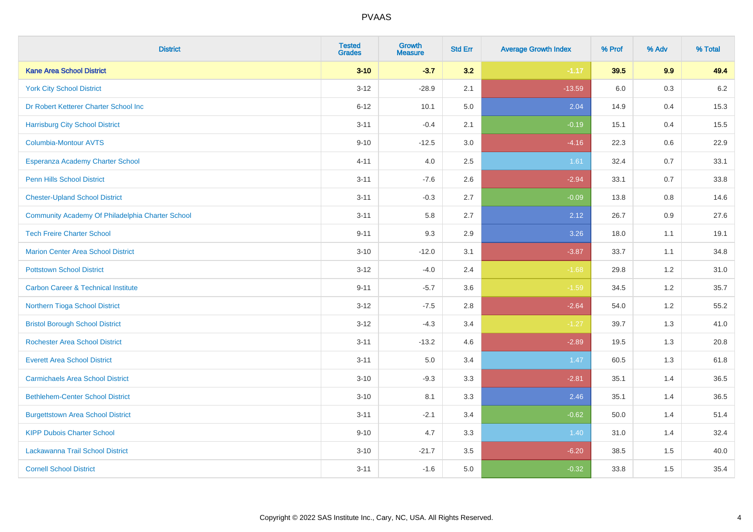| <b>District</b>                                  | <b>Tested</b><br><b>Grades</b> | <b>Growth</b><br><b>Measure</b> | <b>Std Err</b> | <b>Average Growth Index</b> | % Prof | % Adv | % Total |
|--------------------------------------------------|--------------------------------|---------------------------------|----------------|-----------------------------|--------|-------|---------|
| <b>Kane Area School District</b>                 | $3 - 10$                       | $-3.7$                          | 3.2            | $-1.17$                     | 39.5   | 9.9   | 49.4    |
| <b>York City School District</b>                 | $3 - 12$                       | $-28.9$                         | 2.1            | $-13.59$                    | 6.0    | 0.3   | $6.2\,$ |
| Dr Robert Ketterer Charter School Inc            | $6 - 12$                       | 10.1                            | 5.0            | 2.04                        | 14.9   | 0.4   | 15.3    |
| <b>Harrisburg City School District</b>           | $3 - 11$                       | $-0.4$                          | 2.1            | $-0.19$                     | 15.1   | 0.4   | 15.5    |
| <b>Columbia-Montour AVTS</b>                     | $9 - 10$                       | $-12.5$                         | 3.0            | $-4.16$                     | 22.3   | 0.6   | 22.9    |
| Esperanza Academy Charter School                 | $4 - 11$                       | 4.0                             | 2.5            | 1.61                        | 32.4   | 0.7   | 33.1    |
| <b>Penn Hills School District</b>                | $3 - 11$                       | $-7.6$                          | 2.6            | $-2.94$                     | 33.1   | 0.7   | 33.8    |
| <b>Chester-Upland School District</b>            | $3 - 11$                       | $-0.3$                          | 2.7            | $-0.09$                     | 13.8   | 0.8   | 14.6    |
| Community Academy Of Philadelphia Charter School | $3 - 11$                       | 5.8                             | 2.7            | 2.12                        | 26.7   | 0.9   | 27.6    |
| <b>Tech Freire Charter School</b>                | $9 - 11$                       | 9.3                             | 2.9            | 3.26                        | 18.0   | 1.1   | 19.1    |
| <b>Marion Center Area School District</b>        | $3 - 10$                       | $-12.0$                         | 3.1            | $-3.87$                     | 33.7   | 1.1   | 34.8    |
| <b>Pottstown School District</b>                 | $3 - 12$                       | $-4.0$                          | 2.4            | $-1.68$                     | 29.8   | 1.2   | 31.0    |
| <b>Carbon Career &amp; Technical Institute</b>   | $9 - 11$                       | $-5.7$                          | 3.6            | $-1.59$                     | 34.5   | 1.2   | 35.7    |
| Northern Tioga School District                   | $3 - 12$                       | $-7.5$                          | 2.8            | $-2.64$                     | 54.0   | 1.2   | 55.2    |
| <b>Bristol Borough School District</b>           | $3 - 12$                       | $-4.3$                          | 3.4            | $-1.27$                     | 39.7   | 1.3   | 41.0    |
| <b>Rochester Area School District</b>            | $3 - 11$                       | $-13.2$                         | 4.6            | $-2.89$                     | 19.5   | 1.3   | 20.8    |
| <b>Everett Area School District</b>              | $3 - 11$                       | 5.0                             | 3.4            | 1.47                        | 60.5   | 1.3   | 61.8    |
| <b>Carmichaels Area School District</b>          | $3 - 10$                       | $-9.3$                          | 3.3            | $-2.81$                     | 35.1   | 1.4   | 36.5    |
| <b>Bethlehem-Center School District</b>          | $3 - 10$                       | 8.1                             | 3.3            | 2.46                        | 35.1   | 1.4   | 36.5    |
| <b>Burgettstown Area School District</b>         | $3 - 11$                       | $-2.1$                          | 3.4            | $-0.62$                     | 50.0   | 1.4   | 51.4    |
| <b>KIPP Dubois Charter School</b>                | $9 - 10$                       | 4.7                             | 3.3            | 1.40                        | 31.0   | 1.4   | 32.4    |
| Lackawanna Trail School District                 | $3 - 10$                       | $-21.7$                         | 3.5            | $-6.20$                     | 38.5   | 1.5   | 40.0    |
| <b>Cornell School District</b>                   | $3 - 11$                       | $-1.6$                          | 5.0            | $-0.32$                     | 33.8   | 1.5   | 35.4    |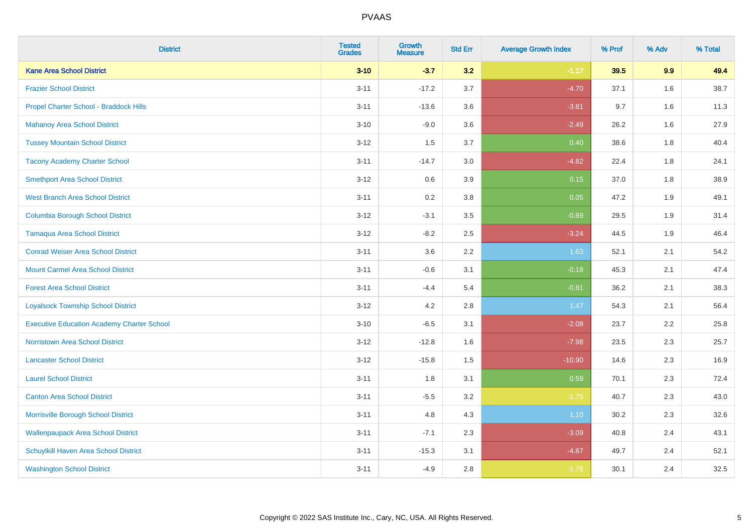| <b>District</b>                                   | <b>Tested</b><br><b>Grades</b> | Growth<br><b>Measure</b> | <b>Std Err</b> | <b>Average Growth Index</b> | % Prof | % Adv | % Total |
|---------------------------------------------------|--------------------------------|--------------------------|----------------|-----------------------------|--------|-------|---------|
| <b>Kane Area School District</b>                  | $3 - 10$                       | $-3.7$                   | 3.2            | $-1.17$                     | 39.5   | 9.9   | 49.4    |
| <b>Frazier School District</b>                    | $3 - 11$                       | $-17.2$                  | 3.7            | $-4.70$                     | 37.1   | 1.6   | 38.7    |
| Propel Charter School - Braddock Hills            | $3 - 11$                       | $-13.6$                  | 3.6            | $-3.81$                     | 9.7    | 1.6   | 11.3    |
| <b>Mahanoy Area School District</b>               | $3 - 10$                       | $-9.0$                   | 3.6            | $-2.49$                     | 26.2   | 1.6   | 27.9    |
| <b>Tussey Mountain School District</b>            | $3 - 12$                       | 1.5                      | 3.7            | 0.40                        | 38.6   | 1.8   | 40.4    |
| <b>Tacony Academy Charter School</b>              | $3 - 11$                       | $-14.7$                  | 3.0            | $-4.82$                     | 22.4   | 1.8   | 24.1    |
| <b>Smethport Area School District</b>             | $3-12$                         | 0.6                      | 3.9            | 0.15                        | 37.0   | 1.8   | 38.9    |
| <b>West Branch Area School District</b>           | $3 - 11$                       | 0.2                      | 3.8            | 0.05                        | 47.2   | 1.9   | 49.1    |
| <b>Columbia Borough School District</b>           | $3 - 12$                       | $-3.1$                   | 3.5            | $-0.89$                     | 29.5   | 1.9   | 31.4    |
| <b>Tamaqua Area School District</b>               | $3 - 12$                       | $-8.2$                   | 2.5            | $-3.24$                     | 44.5   | 1.9   | 46.4    |
| <b>Conrad Weiser Area School District</b>         | $3 - 11$                       | 3.6                      | 2.2            | 1.63                        | 52.1   | 2.1   | 54.2    |
| <b>Mount Carmel Area School District</b>          | $3 - 11$                       | $-0.6$                   | 3.1            | $-0.18$                     | 45.3   | 2.1   | 47.4    |
| <b>Forest Area School District</b>                | $3 - 11$                       | $-4.4$                   | 5.4            | $-0.81$                     | 36.2   | 2.1   | 38.3    |
| <b>Loyalsock Township School District</b>         | $3 - 12$                       | 4.2                      | 2.8            | 1.47                        | 54.3   | 2.1   | 56.4    |
| <b>Executive Education Academy Charter School</b> | $3 - 10$                       | $-6.5$                   | 3.1            | $-2.08$                     | 23.7   | 2.2   | 25.8    |
| <b>Norristown Area School District</b>            | $3-12$                         | $-12.8$                  | 1.6            | $-7.98$                     | 23.5   | 2.3   | 25.7    |
| <b>Lancaster School District</b>                  | $3 - 12$                       | $-15.8$                  | 1.5            | $-10.90$                    | 14.6   | 2.3   | 16.9    |
| <b>Laurel School District</b>                     | $3 - 11$                       | 1.8                      | 3.1            | 0.59                        | 70.1   | 2.3   | 72.4    |
| <b>Canton Area School District</b>                | $3 - 11$                       | $-5.5$                   | 3.2            | $-1.75$                     | 40.7   | 2.3   | 43.0    |
| Morrisville Borough School District               | $3 - 11$                       | 4.8                      | 4.3            | 1.10                        | 30.2   | 2.3   | 32.6    |
| <b>Wallenpaupack Area School District</b>         | $3 - 11$                       | $-7.1$                   | 2.3            | $-3.09$                     | 40.8   | 2.4   | 43.1    |
| Schuylkill Haven Area School District             | $3 - 11$                       | $-15.3$                  | 3.1            | $-4.87$                     | 49.7   | 2.4   | 52.1    |
| <b>Washington School District</b>                 | $3 - 11$                       | $-4.9$                   | 2.8            | $-1.76$                     | 30.1   | 2.4   | 32.5    |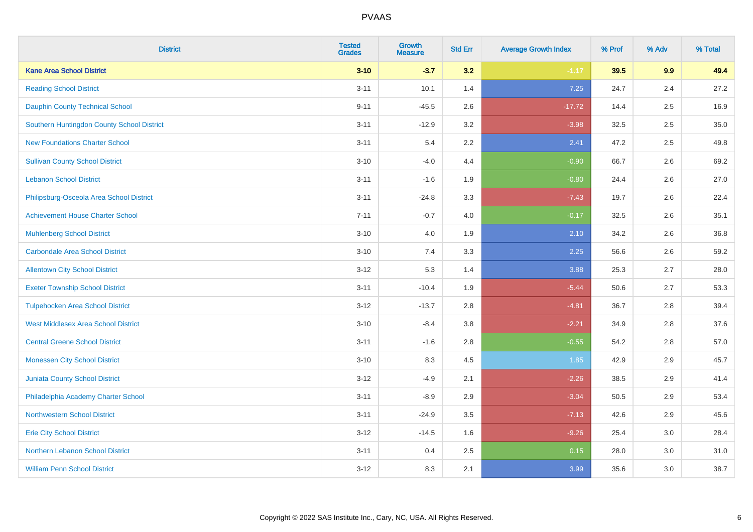| <b>District</b>                            | <b>Tested</b><br><b>Grades</b> | <b>Growth</b><br><b>Measure</b> | <b>Std Err</b> | <b>Average Growth Index</b> | % Prof | % Adv | % Total |
|--------------------------------------------|--------------------------------|---------------------------------|----------------|-----------------------------|--------|-------|---------|
| <b>Kane Area School District</b>           | $3 - 10$                       | $-3.7$                          | 3.2            | $-1.17$                     | 39.5   | 9.9   | 49.4    |
| <b>Reading School District</b>             | $3 - 11$                       | 10.1                            | 1.4            | 7.25                        | 24.7   | 2.4   | 27.2    |
| <b>Dauphin County Technical School</b>     | $9 - 11$                       | $-45.5$                         | 2.6            | $-17.72$                    | 14.4   | 2.5   | 16.9    |
| Southern Huntingdon County School District | $3 - 11$                       | $-12.9$                         | 3.2            | $-3.98$                     | 32.5   | 2.5   | 35.0    |
| <b>New Foundations Charter School</b>      | $3 - 11$                       | 5.4                             | 2.2            | 2.41                        | 47.2   | 2.5   | 49.8    |
| <b>Sullivan County School District</b>     | $3 - 10$                       | $-4.0$                          | 4.4            | $-0.90$                     | 66.7   | 2.6   | 69.2    |
| <b>Lebanon School District</b>             | $3 - 11$                       | $-1.6$                          | 1.9            | $-0.80$                     | 24.4   | 2.6   | 27.0    |
| Philipsburg-Osceola Area School District   | $3 - 11$                       | $-24.8$                         | 3.3            | $-7.43$                     | 19.7   | 2.6   | 22.4    |
| <b>Achievement House Charter School</b>    | $7 - 11$                       | $-0.7$                          | 4.0            | $-0.17$                     | 32.5   | 2.6   | 35.1    |
| <b>Muhlenberg School District</b>          | $3 - 10$                       | 4.0                             | 1.9            | 2.10                        | 34.2   | 2.6   | 36.8    |
| <b>Carbondale Area School District</b>     | $3 - 10$                       | 7.4                             | 3.3            | 2.25                        | 56.6   | 2.6   | 59.2    |
| <b>Allentown City School District</b>      | $3 - 12$                       | 5.3                             | 1.4            | 3.88                        | 25.3   | 2.7   | 28.0    |
| <b>Exeter Township School District</b>     | $3 - 11$                       | $-10.4$                         | 1.9            | $-5.44$                     | 50.6   | 2.7   | 53.3    |
| <b>Tulpehocken Area School District</b>    | $3 - 12$                       | $-13.7$                         | 2.8            | $-4.81$                     | 36.7   | 2.8   | 39.4    |
| <b>West Middlesex Area School District</b> | $3 - 10$                       | $-8.4$                          | $3.8\,$        | $-2.21$                     | 34.9   | 2.8   | 37.6    |
| <b>Central Greene School District</b>      | $3 - 11$                       | $-1.6$                          | 2.8            | $-0.55$                     | 54.2   | 2.8   | 57.0    |
| <b>Monessen City School District</b>       | $3 - 10$                       | 8.3                             | 4.5            | 1.85                        | 42.9   | 2.9   | 45.7    |
| Juniata County School District             | $3 - 12$                       | $-4.9$                          | 2.1            | $-2.26$                     | 38.5   | 2.9   | 41.4    |
| Philadelphia Academy Charter School        | $3 - 11$                       | $-8.9$                          | 2.9            | $-3.04$                     | 50.5   | 2.9   | 53.4    |
| <b>Northwestern School District</b>        | $3 - 11$                       | $-24.9$                         | 3.5            | $-7.13$                     | 42.6   | 2.9   | 45.6    |
| <b>Erie City School District</b>           | $3 - 12$                       | $-14.5$                         | 1.6            | $-9.26$                     | 25.4   | 3.0   | 28.4    |
| Northern Lebanon School District           | $3 - 11$                       | 0.4                             | 2.5            | 0.15                        | 28.0   | 3.0   | 31.0    |
| <b>William Penn School District</b>        | $3 - 12$                       | 8.3                             | 2.1            | 3.99                        | 35.6   | 3.0   | 38.7    |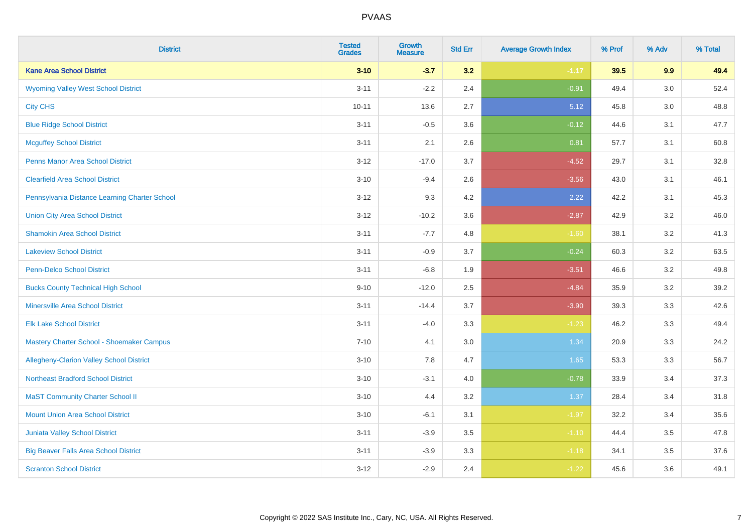| <b>District</b>                                 | <b>Tested</b><br><b>Grades</b> | <b>Growth</b><br><b>Measure</b> | <b>Std Err</b> | <b>Average Growth Index</b> | % Prof | % Adv | % Total |
|-------------------------------------------------|--------------------------------|---------------------------------|----------------|-----------------------------|--------|-------|---------|
| <b>Kane Area School District</b>                | $3 - 10$                       | $-3.7$                          | 3.2            | $-1.17$                     | 39.5   | 9.9   | 49.4    |
| <b>Wyoming Valley West School District</b>      | $3 - 11$                       | $-2.2$                          | 2.4            | $-0.91$                     | 49.4   | 3.0   | 52.4    |
| <b>City CHS</b>                                 | $10 - 11$                      | 13.6                            | 2.7            | 5.12                        | 45.8   | 3.0   | 48.8    |
| <b>Blue Ridge School District</b>               | $3 - 11$                       | $-0.5$                          | 3.6            | $-0.12$                     | 44.6   | 3.1   | 47.7    |
| <b>Mcguffey School District</b>                 | $3 - 11$                       | 2.1                             | 2.6            | 0.81                        | 57.7   | 3.1   | 60.8    |
| <b>Penns Manor Area School District</b>         | $3 - 12$                       | $-17.0$                         | 3.7            | $-4.52$                     | 29.7   | 3.1   | 32.8    |
| <b>Clearfield Area School District</b>          | $3 - 10$                       | $-9.4$                          | 2.6            | $-3.56$                     | 43.0   | 3.1   | 46.1    |
| Pennsylvania Distance Learning Charter School   | $3 - 12$                       | 9.3                             | 4.2            | 2.22                        | 42.2   | 3.1   | 45.3    |
| <b>Union City Area School District</b>          | $3 - 12$                       | $-10.2$                         | 3.6            | $-2.87$                     | 42.9   | 3.2   | 46.0    |
| <b>Shamokin Area School District</b>            | $3 - 11$                       | $-7.7$                          | 4.8            | $-1.60$                     | 38.1   | 3.2   | 41.3    |
| <b>Lakeview School District</b>                 | $3 - 11$                       | $-0.9$                          | 3.7            | $-0.24$                     | 60.3   | 3.2   | 63.5    |
| <b>Penn-Delco School District</b>               | $3 - 11$                       | $-6.8$                          | 1.9            | $-3.51$                     | 46.6   | 3.2   | 49.8    |
| <b>Bucks County Technical High School</b>       | $9 - 10$                       | $-12.0$                         | 2.5            | $-4.84$                     | 35.9   | 3.2   | 39.2    |
| <b>Minersville Area School District</b>         | $3 - 11$                       | $-14.4$                         | 3.7            | $-3.90$                     | 39.3   | 3.3   | 42.6    |
| <b>Elk Lake School District</b>                 | $3 - 11$                       | $-4.0$                          | 3.3            | $-1.23$                     | 46.2   | 3.3   | 49.4    |
| Mastery Charter School - Shoemaker Campus       | $7 - 10$                       | 4.1                             | 3.0            | 1.34                        | 20.9   | 3.3   | 24.2    |
| <b>Allegheny-Clarion Valley School District</b> | $3 - 10$                       | 7.8                             | 4.7            | 1.65                        | 53.3   | 3.3   | 56.7    |
| <b>Northeast Bradford School District</b>       | $3 - 10$                       | $-3.1$                          | 4.0            | $-0.78$                     | 33.9   | 3.4   | 37.3    |
| <b>MaST Community Charter School II</b>         | $3 - 10$                       | 4.4                             | 3.2            | 1.37                        | 28.4   | 3.4   | 31.8    |
| <b>Mount Union Area School District</b>         | $3 - 10$                       | $-6.1$                          | 3.1            | $-1.97$                     | 32.2   | 3.4   | 35.6    |
| <b>Juniata Valley School District</b>           | $3 - 11$                       | $-3.9$                          | 3.5            | $-1.10$                     | 44.4   | 3.5   | 47.8    |
| <b>Big Beaver Falls Area School District</b>    | $3 - 11$                       | $-3.9$                          | 3.3            | $-1.18$                     | 34.1   | 3.5   | 37.6    |
| <b>Scranton School District</b>                 | $3 - 12$                       | $-2.9$                          | 2.4            | $-1.22$                     | 45.6   | 3.6   | 49.1    |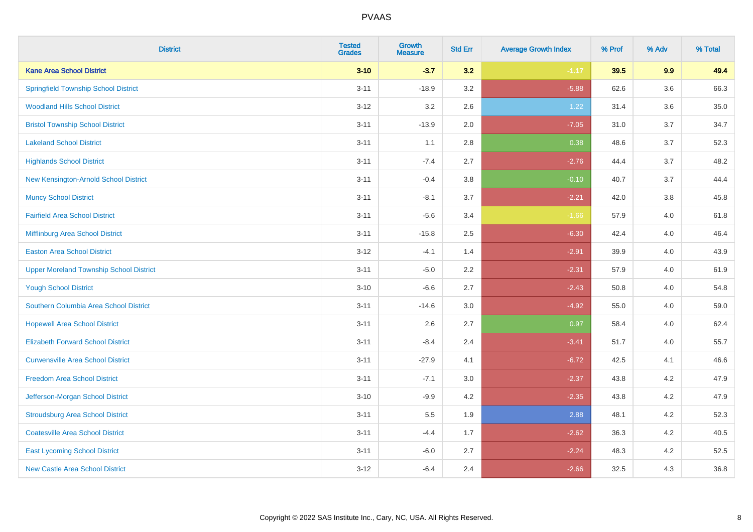| <b>District</b>                                | <b>Tested</b><br><b>Grades</b> | <b>Growth</b><br><b>Measure</b> | <b>Std Err</b> | <b>Average Growth Index</b> | % Prof | % Adv   | % Total |
|------------------------------------------------|--------------------------------|---------------------------------|----------------|-----------------------------|--------|---------|---------|
| <b>Kane Area School District</b>               | $3 - 10$                       | $-3.7$                          | 3.2            | $-1.17$                     | 39.5   | 9.9     | 49.4    |
| <b>Springfield Township School District</b>    | $3 - 11$                       | $-18.9$                         | $3.2\,$        | $-5.88$                     | 62.6   | $3.6\,$ | 66.3    |
| <b>Woodland Hills School District</b>          | $3 - 12$                       | 3.2                             | 2.6            | 1.22                        | 31.4   | 3.6     | 35.0    |
| <b>Bristol Township School District</b>        | $3 - 11$                       | $-13.9$                         | 2.0            | $-7.05$                     | 31.0   | 3.7     | 34.7    |
| <b>Lakeland School District</b>                | $3 - 11$                       | 1.1                             | 2.8            | 0.38                        | 48.6   | 3.7     | 52.3    |
| <b>Highlands School District</b>               | $3 - 11$                       | $-7.4$                          | 2.7            | $-2.76$                     | 44.4   | 3.7     | 48.2    |
| New Kensington-Arnold School District          | $3 - 11$                       | $-0.4$                          | 3.8            | $-0.10$                     | 40.7   | 3.7     | 44.4    |
| <b>Muncy School District</b>                   | $3 - 11$                       | $-8.1$                          | 3.7            | $-2.21$                     | 42.0   | 3.8     | 45.8    |
| <b>Fairfield Area School District</b>          | $3 - 11$                       | $-5.6$                          | 3.4            | $-1.66$                     | 57.9   | 4.0     | 61.8    |
| Mifflinburg Area School District               | $3 - 11$                       | $-15.8$                         | 2.5            | $-6.30$                     | 42.4   | 4.0     | 46.4    |
| <b>Easton Area School District</b>             | $3 - 12$                       | $-4.1$                          | 1.4            | $-2.91$                     | 39.9   | 4.0     | 43.9    |
| <b>Upper Moreland Township School District</b> | $3 - 11$                       | $-5.0$                          | 2.2            | $-2.31$                     | 57.9   | 4.0     | 61.9    |
| <b>Yough School District</b>                   | $3 - 10$                       | $-6.6$                          | 2.7            | $-2.43$                     | 50.8   | 4.0     | 54.8    |
| Southern Columbia Area School District         | $3 - 11$                       | $-14.6$                         | 3.0            | $-4.92$                     | 55.0   | 4.0     | 59.0    |
| <b>Hopewell Area School District</b>           | $3 - 11$                       | 2.6                             | 2.7            | 0.97                        | 58.4   | 4.0     | 62.4    |
| <b>Elizabeth Forward School District</b>       | $3 - 11$                       | $-8.4$                          | 2.4            | $-3.41$                     | 51.7   | 4.0     | 55.7    |
| <b>Curwensville Area School District</b>       | $3 - 11$                       | $-27.9$                         | 4.1            | $-6.72$                     | 42.5   | 4.1     | 46.6    |
| <b>Freedom Area School District</b>            | $3 - 11$                       | $-7.1$                          | 3.0            | $-2.37$                     | 43.8   | 4.2     | 47.9    |
| Jefferson-Morgan School District               | $3 - 10$                       | $-9.9$                          | 4.2            | $-2.35$                     | 43.8   | 4.2     | 47.9    |
| <b>Stroudsburg Area School District</b>        | $3 - 11$                       | $5.5\,$                         | 1.9            | 2.88                        | 48.1   | 4.2     | 52.3    |
| <b>Coatesville Area School District</b>        | $3 - 11$                       | $-4.4$                          | 1.7            | $-2.62$                     | 36.3   | 4.2     | 40.5    |
| <b>East Lycoming School District</b>           | $3 - 11$                       | $-6.0$                          | 2.7            | $-2.24$                     | 48.3   | 4.2     | 52.5    |
| <b>New Castle Area School District</b>         | $3 - 12$                       | $-6.4$                          | 2.4            | $-2.66$                     | 32.5   | 4.3     | 36.8    |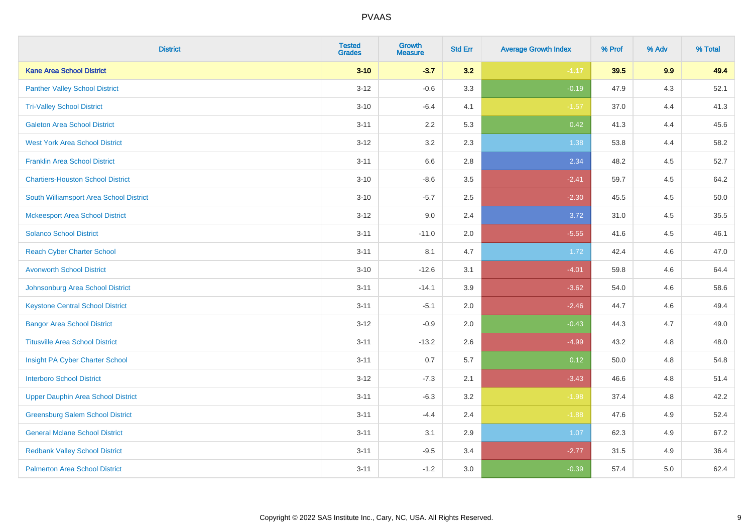| <b>District</b>                           | <b>Tested</b><br><b>Grades</b> | <b>Growth</b><br><b>Measure</b> | <b>Std Err</b> | <b>Average Growth Index</b> | % Prof | % Adv   | % Total |
|-------------------------------------------|--------------------------------|---------------------------------|----------------|-----------------------------|--------|---------|---------|
| <b>Kane Area School District</b>          | $3 - 10$                       | $-3.7$                          | 3.2            | $-1.17$                     | 39.5   | 9.9     | 49.4    |
| <b>Panther Valley School District</b>     | $3 - 12$                       | $-0.6$                          | 3.3            | $-0.19$                     | 47.9   | $4.3$   | 52.1    |
| <b>Tri-Valley School District</b>         | $3 - 10$                       | $-6.4$                          | 4.1            | $-1.57$                     | 37.0   | 4.4     | 41.3    |
| <b>Galeton Area School District</b>       | $3 - 11$                       | 2.2                             | 5.3            | 0.42                        | 41.3   | 4.4     | 45.6    |
| <b>West York Area School District</b>     | $3 - 12$                       | 3.2                             | 2.3            | 1.38                        | 53.8   | 4.4     | 58.2    |
| <b>Franklin Area School District</b>      | $3 - 11$                       | 6.6                             | 2.8            | 2.34                        | 48.2   | 4.5     | 52.7    |
| <b>Chartiers-Houston School District</b>  | $3 - 10$                       | $-8.6$                          | 3.5            | $-2.41$                     | 59.7   | 4.5     | 64.2    |
| South Williamsport Area School District   | $3 - 10$                       | $-5.7$                          | 2.5            | $-2.30$                     | 45.5   | 4.5     | 50.0    |
| <b>Mckeesport Area School District</b>    | $3 - 12$                       | 9.0                             | 2.4            | 3.72                        | 31.0   | 4.5     | 35.5    |
| <b>Solanco School District</b>            | $3 - 11$                       | $-11.0$                         | 2.0            | $-5.55$                     | 41.6   | $4.5\,$ | 46.1    |
| <b>Reach Cyber Charter School</b>         | $3 - 11$                       | 8.1                             | 4.7            | 1.72                        | 42.4   | 4.6     | 47.0    |
| <b>Avonworth School District</b>          | $3 - 10$                       | $-12.6$                         | 3.1            | $-4.01$                     | 59.8   | 4.6     | 64.4    |
| Johnsonburg Area School District          | $3 - 11$                       | $-14.1$                         | 3.9            | $-3.62$                     | 54.0   | 4.6     | 58.6    |
| <b>Keystone Central School District</b>   | $3 - 11$                       | $-5.1$                          | 2.0            | $-2.46$                     | 44.7   | 4.6     | 49.4    |
| <b>Bangor Area School District</b>        | $3-12$                         | $-0.9$                          | 2.0            | $-0.43$                     | 44.3   | 4.7     | 49.0    |
| <b>Titusville Area School District</b>    | $3 - 11$                       | $-13.2$                         | 2.6            | $-4.99$                     | 43.2   | 4.8     | 48.0    |
| Insight PA Cyber Charter School           | $3 - 11$                       | 0.7                             | 5.7            | 0.12                        | 50.0   | 4.8     | 54.8    |
| <b>Interboro School District</b>          | $3 - 12$                       | $-7.3$                          | 2.1            | $-3.43$                     | 46.6   | 4.8     | 51.4    |
| <b>Upper Dauphin Area School District</b> | $3 - 11$                       | $-6.3$                          | 3.2            | $-1.98$                     | 37.4   | 4.8     | 42.2    |
| <b>Greensburg Salem School District</b>   | $3 - 11$                       | $-4.4$                          | 2.4            | $-1.88$                     | 47.6   | 4.9     | 52.4    |
| <b>General Mclane School District</b>     | $3 - 11$                       | 3.1                             | 2.9            | 1.07                        | 62.3   | 4.9     | 67.2    |
| <b>Redbank Valley School District</b>     | $3 - 11$                       | $-9.5$                          | 3.4            | $-2.77$                     | 31.5   | 4.9     | 36.4    |
| <b>Palmerton Area School District</b>     | $3 - 11$                       | $-1.2$                          | 3.0            | $-0.39$                     | 57.4   | 5.0     | 62.4    |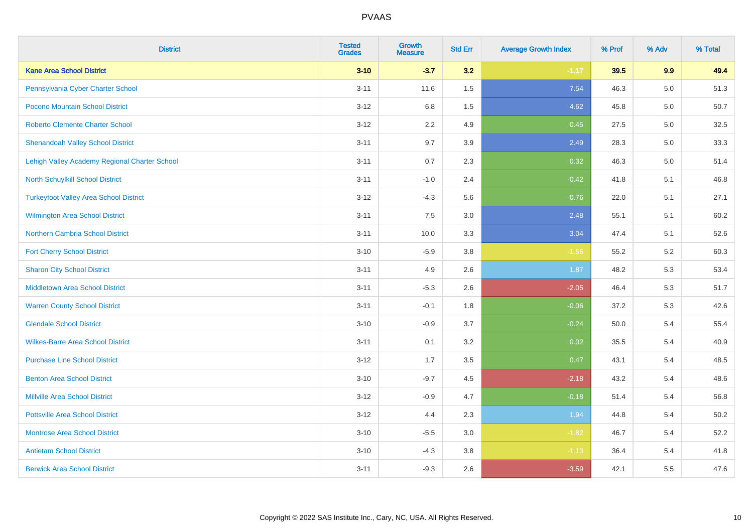| <b>District</b>                               | <b>Tested</b><br><b>Grades</b> | <b>Growth</b><br><b>Measure</b> | <b>Std Err</b> | <b>Average Growth Index</b> | % Prof | % Adv | % Total |
|-----------------------------------------------|--------------------------------|---------------------------------|----------------|-----------------------------|--------|-------|---------|
| <b>Kane Area School District</b>              | $3 - 10$                       | $-3.7$                          | 3.2            | $-1.17$                     | 39.5   | 9.9   | 49.4    |
| Pennsylvania Cyber Charter School             | $3 - 11$                       | 11.6                            | 1.5            | 7.54                        | 46.3   | 5.0   | 51.3    |
| Pocono Mountain School District               | $3 - 12$                       | 6.8                             | 1.5            | 4.62                        | 45.8   | 5.0   | 50.7    |
| <b>Roberto Clemente Charter School</b>        | $3 - 12$                       | 2.2                             | 4.9            | 0.45                        | 27.5   | 5.0   | 32.5    |
| <b>Shenandoah Valley School District</b>      | $3 - 11$                       | 9.7                             | 3.9            | 2.49                        | 28.3   | 5.0   | 33.3    |
| Lehigh Valley Academy Regional Charter School | $3 - 11$                       | 0.7                             | 2.3            | 0.32                        | 46.3   | 5.0   | 51.4    |
| North Schuylkill School District              | $3 - 11$                       | $-1.0$                          | 2.4            | $-0.42$                     | 41.8   | 5.1   | 46.8    |
| <b>Turkeyfoot Valley Area School District</b> | $3 - 12$                       | $-4.3$                          | 5.6            | $-0.76$                     | 22.0   | 5.1   | 27.1    |
| <b>Wilmington Area School District</b>        | $3 - 11$                       | 7.5                             | 3.0            | 2.48                        | 55.1   | 5.1   | 60.2    |
| <b>Northern Cambria School District</b>       | $3 - 11$                       | 10.0                            | 3.3            | 3.04                        | 47.4   | 5.1   | 52.6    |
| <b>Fort Cherry School District</b>            | $3 - 10$                       | $-5.9$                          | 3.8            | $-1.56$                     | 55.2   | 5.2   | 60.3    |
| <b>Sharon City School District</b>            | $3 - 11$                       | 4.9                             | 2.6            | 1.87                        | 48.2   | 5.3   | 53.4    |
| <b>Middletown Area School District</b>        | $3 - 11$                       | $-5.3$                          | 2.6            | $-2.05$                     | 46.4   | 5.3   | 51.7    |
| <b>Warren County School District</b>          | $3 - 11$                       | $-0.1$                          | 1.8            | $-0.06$                     | 37.2   | 5.3   | 42.6    |
| <b>Glendale School District</b>               | $3 - 10$                       | $-0.9$                          | 3.7            | $-0.24$                     | 50.0   | 5.4   | 55.4    |
| <b>Wilkes-Barre Area School District</b>      | $3 - 11$                       | 0.1                             | 3.2            | 0.02                        | 35.5   | 5.4   | 40.9    |
| <b>Purchase Line School District</b>          | $3 - 12$                       | 1.7                             | 3.5            | 0.47                        | 43.1   | 5.4   | 48.5    |
| <b>Benton Area School District</b>            | $3 - 10$                       | $-9.7$                          | 4.5            | $-2.18$                     | 43.2   | 5.4   | 48.6    |
| <b>Millville Area School District</b>         | $3-12$                         | $-0.9$                          | 4.7            | $-0.18$                     | 51.4   | 5.4   | 56.8    |
| <b>Pottsville Area School District</b>        | $3 - 12$                       | 4.4                             | 2.3            | 1.94                        | 44.8   | 5.4   | 50.2    |
| <b>Montrose Area School District</b>          | $3 - 10$                       | $-5.5$                          | 3.0            | $-1.82$                     | 46.7   | 5.4   | 52.2    |
| <b>Antietam School District</b>               | $3 - 10$                       | $-4.3$                          | 3.8            | $-1.13$                     | 36.4   | 5.4   | 41.8    |
| <b>Berwick Area School District</b>           | $3 - 11$                       | $-9.3$                          | 2.6            | $-3.59$                     | 42.1   | 5.5   | 47.6    |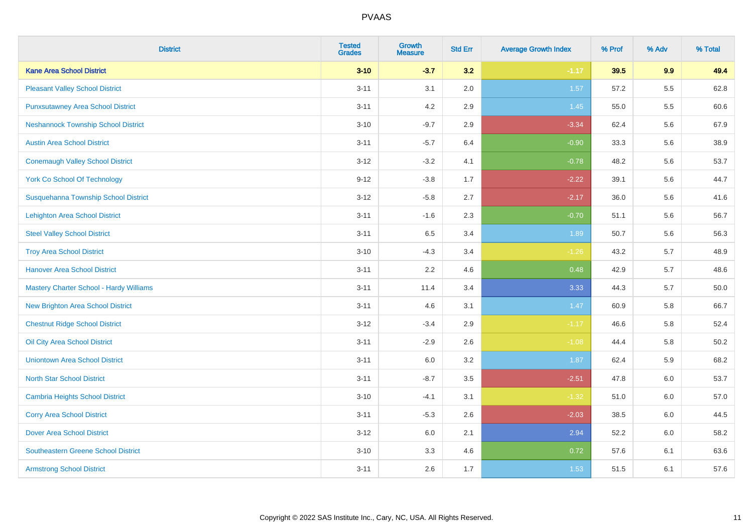| <b>District</b>                                | <b>Tested</b><br><b>Grades</b> | <b>Growth</b><br><b>Measure</b> | <b>Std Err</b> | <b>Average Growth Index</b> | % Prof | % Adv | % Total  |
|------------------------------------------------|--------------------------------|---------------------------------|----------------|-----------------------------|--------|-------|----------|
| <b>Kane Area School District</b>               | $3 - 10$                       | $-3.7$                          | 3.2            | $-1.17$                     | 39.5   | 9.9   | 49.4     |
| <b>Pleasant Valley School District</b>         | $3 - 11$                       | 3.1                             | 2.0            | 1.57                        | 57.2   | 5.5   | 62.8     |
| <b>Punxsutawney Area School District</b>       | $3 - 11$                       | 4.2                             | 2.9            | 1.45                        | 55.0   | 5.5   | 60.6     |
| <b>Neshannock Township School District</b>     | $3 - 10$                       | $-9.7$                          | 2.9            | $-3.34$                     | 62.4   | 5.6   | 67.9     |
| <b>Austin Area School District</b>             | $3 - 11$                       | $-5.7$                          | 6.4            | $-0.90$                     | 33.3   | 5.6   | 38.9     |
| <b>Conemaugh Valley School District</b>        | $3 - 12$                       | $-3.2$                          | 4.1            | $-0.78$                     | 48.2   | 5.6   | 53.7     |
| <b>York Co School Of Technology</b>            | $9 - 12$                       | $-3.8$                          | 1.7            | $-2.22$                     | 39.1   | 5.6   | 44.7     |
| Susquehanna Township School District           | $3 - 12$                       | $-5.8$                          | 2.7            | $-2.17$                     | 36.0   | 5.6   | 41.6     |
| <b>Lehighton Area School District</b>          | $3 - 11$                       | $-1.6$                          | 2.3            | $-0.70$                     | 51.1   | 5.6   | 56.7     |
| <b>Steel Valley School District</b>            | $3 - 11$                       | 6.5                             | 3.4            | 1.89                        | 50.7   | 5.6   | 56.3     |
| <b>Troy Area School District</b>               | $3 - 10$                       | $-4.3$                          | 3.4            | $-1.26$                     | 43.2   | 5.7   | 48.9     |
| <b>Hanover Area School District</b>            | $3 - 11$                       | 2.2                             | 4.6            | 0.48                        | 42.9   | 5.7   | 48.6     |
| <b>Mastery Charter School - Hardy Williams</b> | $3 - 11$                       | 11.4                            | 3.4            | 3.33                        | 44.3   | 5.7   | 50.0     |
| <b>New Brighton Area School District</b>       | $3 - 11$                       | 4.6                             | 3.1            | 1.47                        | 60.9   | 5.8   | 66.7     |
| <b>Chestnut Ridge School District</b>          | $3 - 12$                       | $-3.4$                          | 2.9            | $-1.17$                     | 46.6   | 5.8   | 52.4     |
| Oil City Area School District                  | $3 - 11$                       | $-2.9$                          | 2.6            | $-1.08$                     | 44.4   | 5.8   | $50.2\,$ |
| <b>Uniontown Area School District</b>          | $3 - 11$                       | 6.0                             | 3.2            | 1.87                        | 62.4   | 5.9   | 68.2     |
| <b>North Star School District</b>              | $3 - 11$                       | $-8.7$                          | 3.5            | $-2.51$                     | 47.8   | 6.0   | 53.7     |
| <b>Cambria Heights School District</b>         | $3 - 10$                       | $-4.1$                          | 3.1            | $-1.32$                     | 51.0   | 6.0   | 57.0     |
| <b>Corry Area School District</b>              | $3 - 11$                       | $-5.3$                          | 2.6            | $-2.03$                     | 38.5   | 6.0   | 44.5     |
| <b>Dover Area School District</b>              | $3 - 12$                       | 6.0                             | 2.1            | 2.94                        | 52.2   | 6.0   | 58.2     |
| <b>Southeastern Greene School District</b>     | $3 - 10$                       | 3.3                             | 4.6            | 0.72                        | 57.6   | 6.1   | 63.6     |
| <b>Armstrong School District</b>               | $3 - 11$                       | 2.6                             | 1.7            | 1.53                        | 51.5   | 6.1   | 57.6     |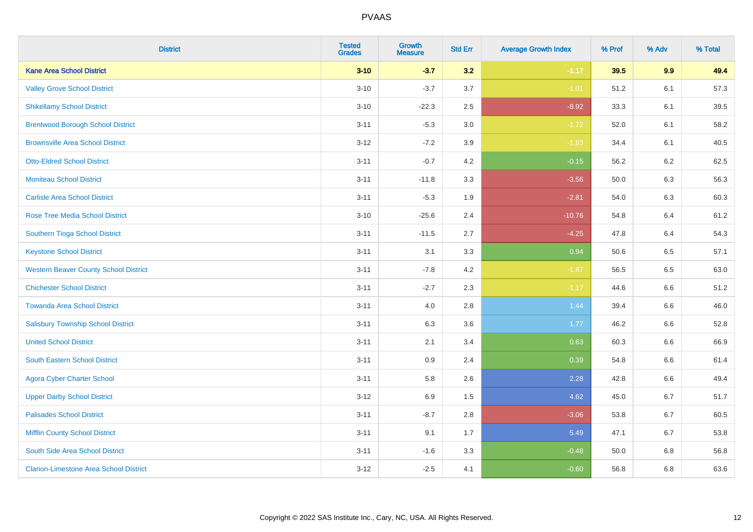| <b>District</b>                               | <b>Tested</b><br><b>Grades</b> | <b>Growth</b><br><b>Measure</b> | <b>Std Err</b> | <b>Average Growth Index</b> | % Prof | % Adv   | % Total |
|-----------------------------------------------|--------------------------------|---------------------------------|----------------|-----------------------------|--------|---------|---------|
| <b>Kane Area School District</b>              | $3 - 10$                       | $-3.7$                          | 3.2            | $-1.17$                     | 39.5   | 9.9     | 49.4    |
| <b>Valley Grove School District</b>           | $3 - 10$                       | $-3.7$                          | 3.7            | $-1.01$                     | 51.2   | 6.1     | 57.3    |
| <b>Shikellamy School District</b>             | $3 - 10$                       | $-22.3$                         | 2.5            | $-8.92$                     | 33.3   | 6.1     | 39.5    |
| <b>Brentwood Borough School District</b>      | $3 - 11$                       | $-5.3$                          | 3.0            | $-1.72$                     | 52.0   | 6.1     | 58.2    |
| <b>Brownsville Area School District</b>       | $3 - 12$                       | $-7.2$                          | 3.9            | $-1.83$                     | 34.4   | 6.1     | 40.5    |
| <b>Otto-Eldred School District</b>            | $3 - 11$                       | $-0.7$                          | 4.2            | $-0.15$                     | 56.2   | 6.2     | 62.5    |
| <b>Moniteau School District</b>               | $3 - 11$                       | $-11.8$                         | 3.3            | $-3.56$                     | 50.0   | 6.3     | 56.3    |
| <b>Carlisle Area School District</b>          | $3 - 11$                       | $-5.3$                          | 1.9            | $-2.81$                     | 54.0   | 6.3     | 60.3    |
| <b>Rose Tree Media School District</b>        | $3 - 10$                       | $-25.6$                         | 2.4            | $-10.76$                    | 54.8   | 6.4     | 61.2    |
| Southern Tioga School District                | $3 - 11$                       | $-11.5$                         | 2.7            | $-4.25$                     | 47.8   | 6.4     | 54.3    |
| <b>Keystone School District</b>               | $3 - 11$                       | 3.1                             | 3.3            | 0.94                        | 50.6   | 6.5     | 57.1    |
| <b>Western Beaver County School District</b>  | $3 - 11$                       | $-7.8$                          | 4.2            | $-1.87$                     | 56.5   | 6.5     | 63.0    |
| <b>Chichester School District</b>             | $3 - 11$                       | $-2.7$                          | 2.3            | $-1.17$                     | 44.6   | $6.6\,$ | 51.2    |
| <b>Towanda Area School District</b>           | $3 - 11$                       | 4.0                             | 2.8            | 1.44                        | 39.4   | 6.6     | 46.0    |
| <b>Salisbury Township School District</b>     | $3 - 11$                       | 6.3                             | 3.6            | 1.77                        | 46.2   | 6.6     | 52.8    |
| <b>United School District</b>                 | $3 - 11$                       | 2.1                             | 3.4            | 0.63                        | 60.3   | $6.6\,$ | 66.9    |
| <b>South Eastern School District</b>          | $3 - 11$                       | 0.9                             | 2.4            | 0.39                        | 54.8   | 6.6     | 61.4    |
| <b>Agora Cyber Charter School</b>             | $3 - 11$                       | 5.8                             | 2.6            | 2.28                        | 42.8   | 6.6     | 49.4    |
| <b>Upper Darby School District</b>            | $3 - 12$                       | 6.9                             | 1.5            | 4.62                        | 45.0   | 6.7     | 51.7    |
| <b>Palisades School District</b>              | $3 - 11$                       | $-8.7$                          | 2.8            | $-3.06$                     | 53.8   | 6.7     | 60.5    |
| <b>Mifflin County School District</b>         | $3 - 11$                       | 9.1                             | 1.7            | 5.49                        | 47.1   | 6.7     | 53.8    |
| South Side Area School District               | $3 - 11$                       | $-1.6$                          | 3.3            | $-0.48$                     | 50.0   | 6.8     | 56.8    |
| <b>Clarion-Limestone Area School District</b> | $3 - 12$                       | $-2.5$                          | 4.1            | $-0.60$                     | 56.8   | 6.8     | 63.6    |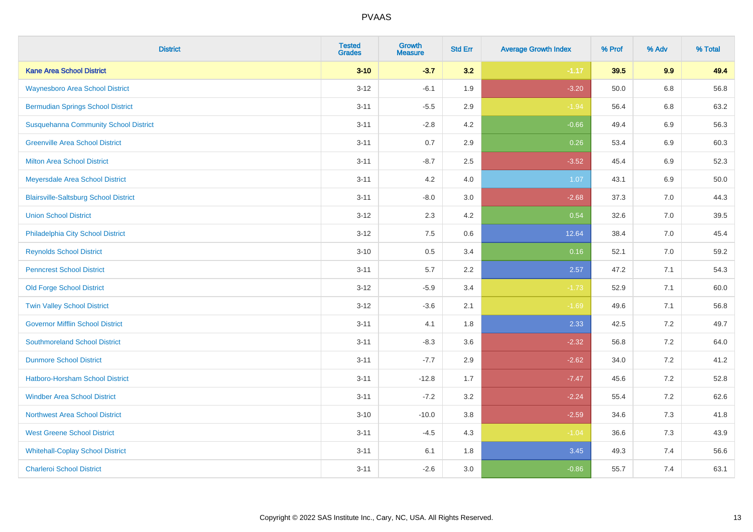| <b>District</b>                              | <b>Tested</b><br><b>Grades</b> | Growth<br><b>Measure</b> | <b>Std Err</b> | <b>Average Growth Index</b> | % Prof | % Adv   | % Total |
|----------------------------------------------|--------------------------------|--------------------------|----------------|-----------------------------|--------|---------|---------|
| <b>Kane Area School District</b>             | $3 - 10$                       | $-3.7$                   | 3.2            | $-1.17$                     | 39.5   | 9.9     | 49.4    |
| <b>Waynesboro Area School District</b>       | $3 - 12$                       | $-6.1$                   | 1.9            | $-3.20$                     | 50.0   | $6.8\,$ | 56.8    |
| <b>Bermudian Springs School District</b>     | $3 - 11$                       | $-5.5$                   | 2.9            | $-1.94$                     | 56.4   | 6.8     | 63.2    |
| <b>Susquehanna Community School District</b> | $3 - 11$                       | $-2.8$                   | 4.2            | $-0.66$                     | 49.4   | $6.9\,$ | 56.3    |
| <b>Greenville Area School District</b>       | $3 - 11$                       | 0.7                      | 2.9            | 0.26                        | 53.4   | $6.9\,$ | 60.3    |
| <b>Milton Area School District</b>           | $3 - 11$                       | $-8.7$                   | 2.5            | $-3.52$                     | 45.4   | 6.9     | 52.3    |
| Meyersdale Area School District              | $3 - 11$                       | 4.2                      | 4.0            | 1.07                        | 43.1   | $6.9\,$ | 50.0    |
| <b>Blairsville-Saltsburg School District</b> | $3 - 11$                       | $-8.0$                   | 3.0            | $-2.68$                     | 37.3   | 7.0     | 44.3    |
| <b>Union School District</b>                 | $3 - 12$                       | 2.3                      | 4.2            | 0.54                        | 32.6   | 7.0     | 39.5    |
| Philadelphia City School District            | $3 - 12$                       | 7.5                      | 0.6            | 12.64                       | 38.4   | 7.0     | 45.4    |
| <b>Reynolds School District</b>              | $3 - 10$                       | 0.5                      | 3.4            | 0.16                        | 52.1   | 7.0     | 59.2    |
| <b>Penncrest School District</b>             | $3 - 11$                       | 5.7                      | 2.2            | 2.57                        | 47.2   | 7.1     | 54.3    |
| <b>Old Forge School District</b>             | $3 - 12$                       | $-5.9$                   | 3.4            | $-1.73$                     | 52.9   | 7.1     | 60.0    |
| <b>Twin Valley School District</b>           | $3 - 12$                       | $-3.6$                   | 2.1            | $-1.69$                     | 49.6   | 7.1     | 56.8    |
| <b>Governor Mifflin School District</b>      | $3 - 11$                       | 4.1                      | 1.8            | 2.33                        | 42.5   | 7.2     | 49.7    |
| <b>Southmoreland School District</b>         | $3 - 11$                       | $-8.3$                   | 3.6            | $-2.32$                     | 56.8   | 7.2     | 64.0    |
| <b>Dunmore School District</b>               | $3 - 11$                       | $-7.7$                   | 2.9            | $-2.62$                     | 34.0   | 7.2     | 41.2    |
| <b>Hatboro-Horsham School District</b>       | $3 - 11$                       | $-12.8$                  | 1.7            | $-7.47$                     | 45.6   | 7.2     | 52.8    |
| <b>Windber Area School District</b>          | $3 - 11$                       | $-7.2$                   | 3.2            | $-2.24$                     | 55.4   | 7.2     | 62.6    |
| Northwest Area School District               | $3 - 10$                       | $-10.0$                  | 3.8            | $-2.59$                     | 34.6   | 7.3     | 41.8    |
| <b>West Greene School District</b>           | $3 - 11$                       | $-4.5$                   | 4.3            | $-1.04$                     | 36.6   | 7.3     | 43.9    |
| <b>Whitehall-Coplay School District</b>      | $3 - 11$                       | 6.1                      | 1.8            | 3.45                        | 49.3   | 7.4     | 56.6    |
| <b>Charleroi School District</b>             | $3 - 11$                       | $-2.6$                   | 3.0            | $-0.86$                     | 55.7   | 7.4     | 63.1    |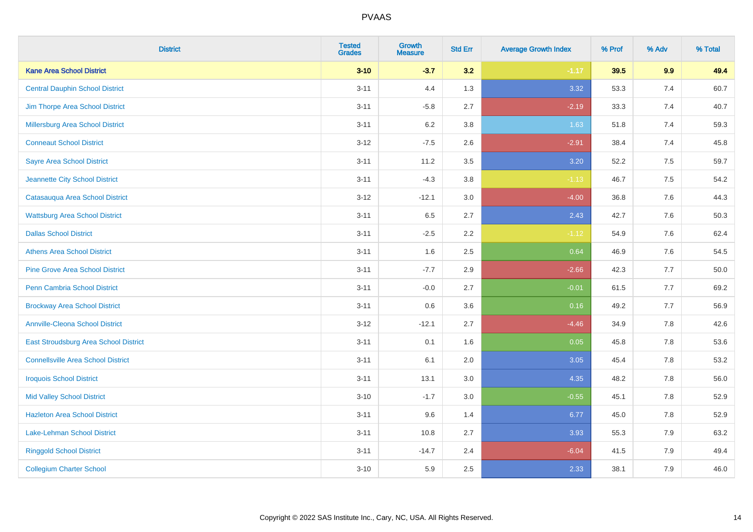| <b>District</b>                           | <b>Tested</b><br><b>Grades</b> | <b>Growth</b><br><b>Measure</b> | <b>Std Err</b> | <b>Average Growth Index</b> | % Prof | % Adv   | % Total |
|-------------------------------------------|--------------------------------|---------------------------------|----------------|-----------------------------|--------|---------|---------|
| <b>Kane Area School District</b>          | $3 - 10$                       | $-3.7$                          | 3.2            | $-1.17$                     | 39.5   | 9.9     | 49.4    |
| <b>Central Dauphin School District</b>    | $3 - 11$                       | 4.4                             | 1.3            | 3.32                        | 53.3   | 7.4     | 60.7    |
| Jim Thorpe Area School District           | $3 - 11$                       | $-5.8$                          | 2.7            | $-2.19$                     | 33.3   | 7.4     | 40.7    |
| <b>Millersburg Area School District</b>   | $3 - 11$                       | $6.2\,$                         | 3.8            | 1.63                        | 51.8   | 7.4     | 59.3    |
| <b>Conneaut School District</b>           | $3 - 12$                       | $-7.5$                          | 2.6            | $-2.91$                     | 38.4   | 7.4     | 45.8    |
| <b>Sayre Area School District</b>         | $3 - 11$                       | 11.2                            | 3.5            | 3.20                        | 52.2   | 7.5     | 59.7    |
| Jeannette City School District            | $3 - 11$                       | $-4.3$                          | 3.8            | $-1.13$                     | 46.7   | 7.5     | 54.2    |
| Catasauqua Area School District           | $3 - 12$                       | $-12.1$                         | 3.0            | $-4.00$                     | 36.8   | 7.6     | 44.3    |
| <b>Wattsburg Area School District</b>     | $3 - 11$                       | 6.5                             | 2.7            | 2.43                        | 42.7   | 7.6     | 50.3    |
| <b>Dallas School District</b>             | $3 - 11$                       | $-2.5$                          | 2.2            | $-1.12$                     | 54.9   | 7.6     | 62.4    |
| <b>Athens Area School District</b>        | $3 - 11$                       | 1.6                             | 2.5            | 0.64                        | 46.9   | 7.6     | 54.5    |
| <b>Pine Grove Area School District</b>    | $3 - 11$                       | $-7.7$                          | 2.9            | $-2.66$                     | 42.3   | 7.7     | 50.0    |
| Penn Cambria School District              | $3 - 11$                       | $-0.0$                          | 2.7            | $-0.01$                     | 61.5   | 7.7     | 69.2    |
| <b>Brockway Area School District</b>      | $3 - 11$                       | 0.6                             | 3.6            | 0.16                        | 49.2   | 7.7     | 56.9    |
| <b>Annville-Cleona School District</b>    | $3 - 12$                       | $-12.1$                         | 2.7            | $-4.46$                     | 34.9   | 7.8     | 42.6    |
| East Stroudsburg Area School District     | $3 - 11$                       | 0.1                             | 1.6            | 0.05                        | 45.8   | $7.8\,$ | 53.6    |
| <b>Connellsville Area School District</b> | $3 - 11$                       | 6.1                             | 2.0            | 3.05                        | 45.4   | 7.8     | 53.2    |
| <b>Iroquois School District</b>           | $3 - 11$                       | 13.1                            | 3.0            | 4.35                        | 48.2   | 7.8     | 56.0    |
| <b>Mid Valley School District</b>         | $3 - 10$                       | $-1.7$                          | 3.0            | $-0.55$                     | 45.1   | 7.8     | 52.9    |
| <b>Hazleton Area School District</b>      | $3 - 11$                       | 9.6                             | 1.4            | 6.77                        | 45.0   | 7.8     | 52.9    |
| <b>Lake-Lehman School District</b>        | $3 - 11$                       | 10.8                            | 2.7            | 3.93                        | 55.3   | 7.9     | 63.2    |
| <b>Ringgold School District</b>           | $3 - 11$                       | $-14.7$                         | 2.4            | $-6.04$                     | 41.5   | 7.9     | 49.4    |
| <b>Collegium Charter School</b>           | $3 - 10$                       | 5.9                             | 2.5            | 2.33                        | 38.1   | 7.9     | 46.0    |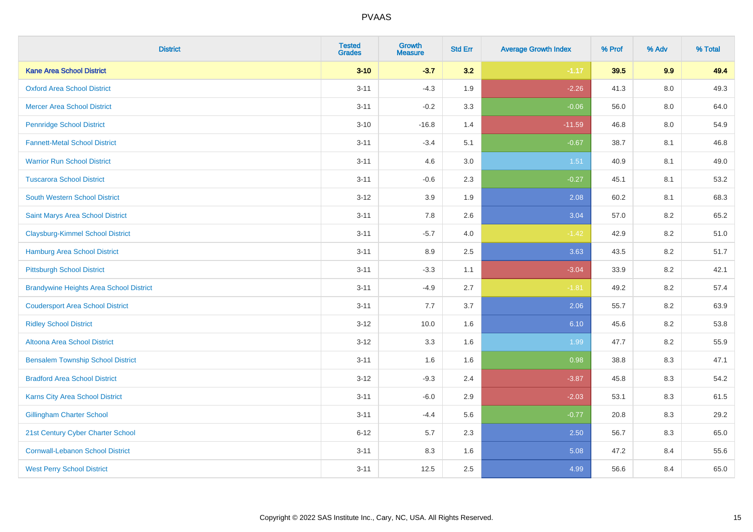| <b>District</b>                                | <b>Tested</b><br><b>Grades</b> | <b>Growth</b><br><b>Measure</b> | <b>Std Err</b> | <b>Average Growth Index</b> | % Prof | % Adv   | % Total |
|------------------------------------------------|--------------------------------|---------------------------------|----------------|-----------------------------|--------|---------|---------|
| <b>Kane Area School District</b>               | $3 - 10$                       | $-3.7$                          | 3.2            | $-1.17$                     | 39.5   | 9.9     | 49.4    |
| <b>Oxford Area School District</b>             | $3 - 11$                       | $-4.3$                          | 1.9            | $-2.26$                     | 41.3   | $8.0\,$ | 49.3    |
| <b>Mercer Area School District</b>             | $3 - 11$                       | $-0.2$                          | 3.3            | $-0.06$                     | 56.0   | 8.0     | 64.0    |
| <b>Pennridge School District</b>               | $3 - 10$                       | $-16.8$                         | 1.4            | $-11.59$                    | 46.8   | $8.0\,$ | 54.9    |
| <b>Fannett-Metal School District</b>           | $3 - 11$                       | $-3.4$                          | 5.1            | $-0.67$                     | 38.7   | 8.1     | 46.8    |
| <b>Warrior Run School District</b>             | $3 - 11$                       | 4.6                             | 3.0            | 1.51                        | 40.9   | 8.1     | 49.0    |
| <b>Tuscarora School District</b>               | $3 - 11$                       | $-0.6$                          | 2.3            | $-0.27$                     | 45.1   | 8.1     | 53.2    |
| <b>South Western School District</b>           | $3 - 12$                       | 3.9                             | 1.9            | 2.08                        | 60.2   | 8.1     | 68.3    |
| Saint Marys Area School District               | $3 - 11$                       | 7.8                             | 2.6            | 3.04                        | 57.0   | 8.2     | 65.2    |
| <b>Claysburg-Kimmel School District</b>        | $3 - 11$                       | $-5.7$                          | 4.0            | $-1.42$                     | 42.9   | $8.2\,$ | 51.0    |
| Hamburg Area School District                   | $3 - 11$                       | 8.9                             | 2.5            | 3.63                        | 43.5   | 8.2     | 51.7    |
| <b>Pittsburgh School District</b>              | $3 - 11$                       | $-3.3$                          | 1.1            | $-3.04$                     | 33.9   | 8.2     | 42.1    |
| <b>Brandywine Heights Area School District</b> | $3 - 11$                       | $-4.9$                          | 2.7            | $-1.81$                     | 49.2   | 8.2     | 57.4    |
| <b>Coudersport Area School District</b>        | $3 - 11$                       | 7.7                             | 3.7            | 2.06                        | 55.7   | 8.2     | 63.9    |
| <b>Ridley School District</b>                  | $3-12$                         | 10.0                            | 1.6            | 6.10                        | 45.6   | 8.2     | 53.8    |
| Altoona Area School District                   | $3 - 12$                       | 3.3                             | 1.6            | 1.99                        | 47.7   | 8.2     | 55.9    |
| <b>Bensalem Township School District</b>       | $3 - 11$                       | 1.6                             | 1.6            | 0.98                        | 38.8   | 8.3     | 47.1    |
| <b>Bradford Area School District</b>           | $3-12$                         | $-9.3$                          | 2.4            | $-3.87$                     | 45.8   | 8.3     | 54.2    |
| Karns City Area School District                | $3 - 11$                       | $-6.0$                          | 2.9            | $-2.03$                     | 53.1   | 8.3     | 61.5    |
| <b>Gillingham Charter School</b>               | $3 - 11$                       | $-4.4$                          | 5.6            | $-0.77$                     | 20.8   | 8.3     | 29.2    |
| 21st Century Cyber Charter School              | $6 - 12$                       | 5.7                             | 2.3            | 2.50                        | 56.7   | 8.3     | 65.0    |
| <b>Cornwall-Lebanon School District</b>        | $3 - 11$                       | 8.3                             | 1.6            | 5.08                        | 47.2   | 8.4     | 55.6    |
| <b>West Perry School District</b>              | $3 - 11$                       | 12.5                            | 2.5            | 4.99                        | 56.6   | 8.4     | 65.0    |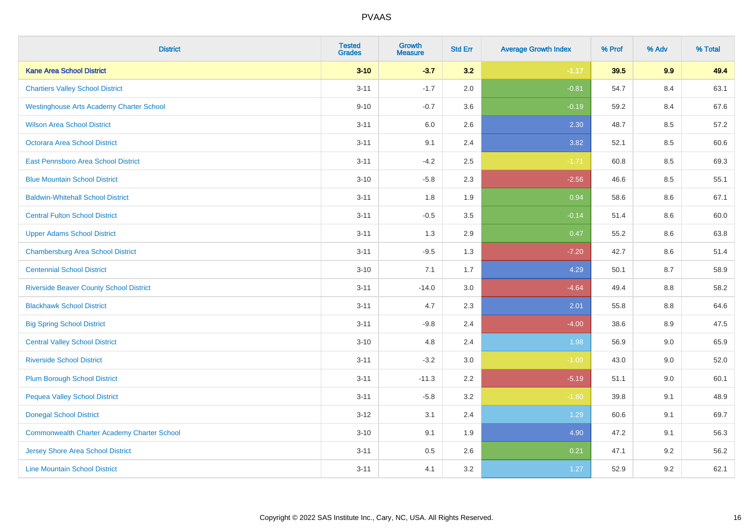| <b>District</b>                                    | <b>Tested</b><br><b>Grades</b> | <b>Growth</b><br><b>Measure</b> | <b>Std Err</b> | <b>Average Growth Index</b> | % Prof | % Adv | % Total |
|----------------------------------------------------|--------------------------------|---------------------------------|----------------|-----------------------------|--------|-------|---------|
| <b>Kane Area School District</b>                   | $3 - 10$                       | $-3.7$                          | 3.2            | $-1.17$                     | 39.5   | 9.9   | 49.4    |
| <b>Chartiers Valley School District</b>            | $3 - 11$                       | $-1.7$                          | 2.0            | $-0.81$                     | 54.7   | 8.4   | 63.1    |
| <b>Westinghouse Arts Academy Charter School</b>    | $9 - 10$                       | $-0.7$                          | 3.6            | $-0.19$                     | 59.2   | 8.4   | 67.6    |
| <b>Wilson Area School District</b>                 | $3 - 11$                       | $6.0\,$                         | 2.6            | 2.30                        | 48.7   | 8.5   | 57.2    |
| Octorara Area School District                      | $3 - 11$                       | 9.1                             | 2.4            | 3.82                        | 52.1   | 8.5   | 60.6    |
| East Pennsboro Area School District                | $3 - 11$                       | $-4.2$                          | 2.5            | $-1.71$                     | 60.8   | 8.5   | 69.3    |
| <b>Blue Mountain School District</b>               | $3 - 10$                       | $-5.8$                          | 2.3            | $-2.56$                     | 46.6   | 8.5   | 55.1    |
| <b>Baldwin-Whitehall School District</b>           | $3 - 11$                       | 1.8                             | 1.9            | 0.94                        | 58.6   | 8.6   | 67.1    |
| <b>Central Fulton School District</b>              | $3 - 11$                       | $-0.5$                          | 3.5            | $-0.14$                     | 51.4   | 8.6   | 60.0    |
| <b>Upper Adams School District</b>                 | $3 - 11$                       | 1.3                             | 2.9            | 0.47                        | 55.2   | 8.6   | 63.8    |
| <b>Chambersburg Area School District</b>           | $3 - 11$                       | $-9.5$                          | 1.3            | $-7.20$                     | 42.7   | 8.6   | 51.4    |
| <b>Centennial School District</b>                  | $3 - 10$                       | 7.1                             | 1.7            | 4.29                        | 50.1   | 8.7   | 58.9    |
| <b>Riverside Beaver County School District</b>     | $3 - 11$                       | $-14.0$                         | 3.0            | $-4.64$                     | 49.4   | 8.8   | 58.2    |
| <b>Blackhawk School District</b>                   | $3 - 11$                       | 4.7                             | 2.3            | 2.01                        | 55.8   | 8.8   | 64.6    |
| <b>Big Spring School District</b>                  | $3 - 11$                       | $-9.8$                          | 2.4            | $-4.00$                     | 38.6   | 8.9   | 47.5    |
| <b>Central Valley School District</b>              | $3 - 10$                       | 4.8                             | 2.4            | 1.98                        | 56.9   | 9.0   | 65.9    |
| <b>Riverside School District</b>                   | $3 - 11$                       | $-3.2$                          | 3.0            | $-1.09$                     | 43.0   | 9.0   | 52.0    |
| <b>Plum Borough School District</b>                | $3 - 11$                       | $-11.3$                         | 2.2            | $-5.19$                     | 51.1   | 9.0   | 60.1    |
| <b>Pequea Valley School District</b>               | $3 - 11$                       | $-5.8$                          | 3.2            | $-1.80$                     | 39.8   | 9.1   | 48.9    |
| <b>Donegal School District</b>                     | $3 - 12$                       | 3.1                             | 2.4            | 1.29                        | 60.6   | 9.1   | 69.7    |
| <b>Commonwealth Charter Academy Charter School</b> | $3 - 10$                       | 9.1                             | 1.9            | 4.90                        | 47.2   | 9.1   | 56.3    |
| <b>Jersey Shore Area School District</b>           | $3 - 11$                       | $0.5\,$                         | 2.6            | 0.21                        | 47.1   | 9.2   | 56.2    |
| <b>Line Mountain School District</b>               | $3 - 11$                       | 4.1                             | 3.2            | 1.27                        | 52.9   | 9.2   | 62.1    |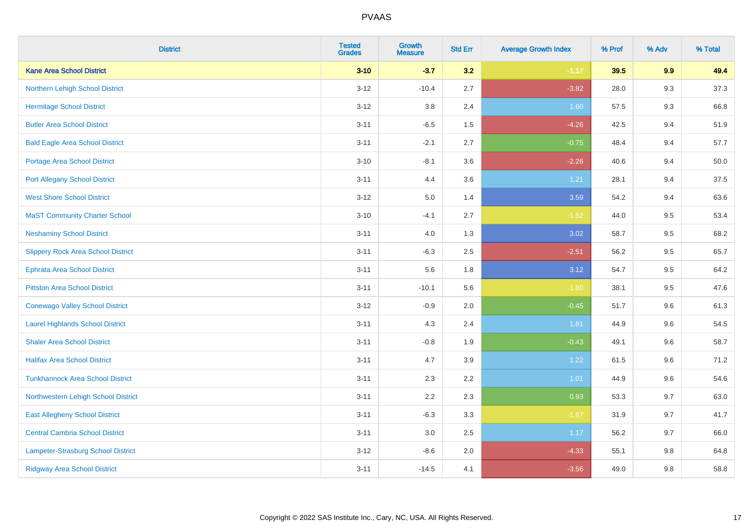| <b>District</b>                           | <b>Tested</b><br><b>Grades</b> | <b>Growth</b><br><b>Measure</b> | <b>Std Err</b> | <b>Average Growth Index</b> | % Prof | % Adv | % Total |
|-------------------------------------------|--------------------------------|---------------------------------|----------------|-----------------------------|--------|-------|---------|
| <b>Kane Area School District</b>          | $3 - 10$                       | $-3.7$                          | 3.2            | $-1.17$                     | 39.5   | 9.9   | 49.4    |
| Northern Lehigh School District           | $3 - 12$                       | $-10.4$                         | 2.7            | $-3.82$                     | 28.0   | 9.3   | 37.3    |
| <b>Hermitage School District</b>          | $3 - 12$                       | 3.8                             | 2.4            | 1.60                        | 57.5   | 9.3   | 66.8    |
| <b>Butler Area School District</b>        | $3 - 11$                       | $-6.5$                          | 1.5            | $-4.26$                     | 42.5   | 9.4   | 51.9    |
| <b>Bald Eagle Area School District</b>    | $3 - 11$                       | $-2.1$                          | 2.7            | $-0.75$                     | 48.4   | 9.4   | 57.7    |
| <b>Portage Area School District</b>       | $3 - 10$                       | $-8.1$                          | 3.6            | $-2.26$                     | 40.6   | 9.4   | 50.0    |
| <b>Port Allegany School District</b>      | $3 - 11$                       | 4.4                             | 3.6            | 1.21                        | 28.1   | 9.4   | 37.5    |
| <b>West Shore School District</b>         | $3 - 12$                       | 5.0                             | 1.4            | 3.59                        | 54.2   | 9.4   | 63.6    |
| <b>MaST Community Charter School</b>      | $3 - 10$                       | $-4.1$                          | 2.7            | $-1.52$                     | 44.0   | 9.5   | 53.4    |
| <b>Neshaminy School District</b>          | $3 - 11$                       | 4.0                             | 1.3            | 3.02                        | 58.7   | 9.5   | 68.2    |
| <b>Slippery Rock Area School District</b> | $3 - 11$                       | $-6.3$                          | 2.5            | $-2.51$                     | 56.2   | 9.5   | 65.7    |
| <b>Ephrata Area School District</b>       | $3 - 11$                       | 5.6                             | 1.8            | 3.12                        | 54.7   | 9.5   | 64.2    |
| <b>Pittston Area School District</b>      | $3 - 11$                       | $-10.1$                         | 5.6            | $-1.80$                     | 38.1   | 9.5   | 47.6    |
| <b>Conewago Valley School District</b>    | $3 - 12$                       | $-0.9$                          | 2.0            | $-0.45$                     | 51.7   | 9.6   | 61.3    |
| <b>Laurel Highlands School District</b>   | $3 - 11$                       | 4.3                             | 2.4            | 1.81                        | 44.9   | 9.6   | 54.5    |
| <b>Shaler Area School District</b>        | $3 - 11$                       | $-0.8$                          | 1.9            | $-0.43$                     | 49.1   | 9.6   | 58.7    |
| <b>Halifax Area School District</b>       | $3 - 11$                       | 4.7                             | 3.9            | 1.22                        | 61.5   | 9.6   | 71.2    |
| <b>Tunkhannock Area School District</b>   | $3 - 11$                       | 2.3                             | 2.2            | 1.01                        | 44.9   | 9.6   | 54.6    |
| Northwestern Lehigh School District       | $3 - 11$                       | 2.2                             | 2.3            | 0.93                        | 53.3   | 9.7   | 63.0    |
| <b>East Allegheny School District</b>     | $3 - 11$                       | $-6.3$                          | 3.3            | $-1.87$                     | 31.9   | 9.7   | 41.7    |
| <b>Central Cambria School District</b>    | $3 - 11$                       | 3.0                             | $2.5\,$        | 1.17                        | 56.2   | 9.7   | 66.0    |
| Lampeter-Strasburg School District        | $3 - 12$                       | $-8.6$                          | 2.0            | $-4.33$                     | 55.1   | 9.8   | 64.8    |
| <b>Ridgway Area School District</b>       | $3 - 11$                       | $-14.5$                         | 4.1            | $-3.56$                     | 49.0   | 9.8   | 58.8    |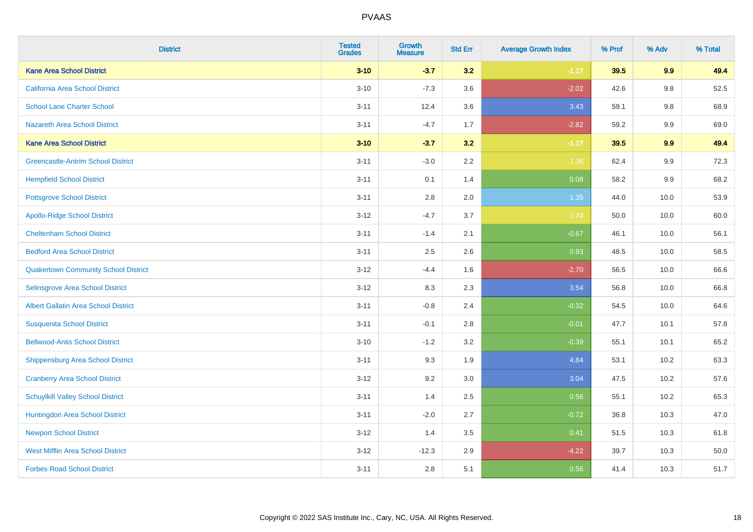| <b>District</b>                             | <b>Tested</b><br><b>Grades</b> | <b>Growth</b><br><b>Measure</b> | <b>Std Err</b> | <b>Average Growth Index</b> | % Prof | % Adv   | % Total |
|---------------------------------------------|--------------------------------|---------------------------------|----------------|-----------------------------|--------|---------|---------|
| <b>Kane Area School District</b>            | $3 - 10$                       | $-3.7$                          | 3.2            | $-1.17$                     | 39.5   | 9.9     | 49.4    |
| California Area School District             | $3 - 10$                       | $-7.3$                          | 3.6            | $-2.02$                     | 42.6   | $9.8\,$ | 52.5    |
| <b>School Lane Charter School</b>           | $3 - 11$                       | 12.4                            | 3.6            | 3.43                        | 59.1   | 9.8     | 68.9    |
| <b>Nazareth Area School District</b>        | $3 - 11$                       | $-4.7$                          | 1.7            | $-2.82$                     | 59.2   | $9.9\,$ | 69.0    |
| <b>Kane Area School District</b>            | $3 - 10$                       | $-3.7$                          | 3.2            | $-1.17$                     | 39.5   | 9.9     | 49.4    |
| <b>Greencastle-Antrim School District</b>   | $3 - 11$                       | $-3.0$                          | 2.2            | $-1.36$                     | 62.4   | 9.9     | 72.3    |
| <b>Hempfield School District</b>            | $3 - 11$                       | 0.1                             | 1.4            | 0.08                        | 58.2   | 9.9     | 68.2    |
| <b>Pottsgrove School District</b>           | $3 - 11$                       | 2.8                             | 2.0            | 1.35                        | 44.0   | 10.0    | 53.9    |
| <b>Apollo-Ridge School District</b>         | $3 - 12$                       | $-4.7$                          | 3.7            | $-1.24$                     | 50.0   | 10.0    | 60.0    |
| <b>Cheltenham School District</b>           | $3 - 11$                       | $-1.4$                          | 2.1            | $-0.67$                     | 46.1   | 10.0    | 56.1    |
| <b>Bedford Area School District</b>         | $3 - 11$                       | 2.5                             | 2.6            | 0.93                        | 48.5   | 10.0    | 58.5    |
| <b>Quakertown Community School District</b> | $3 - 12$                       | $-4.4$                          | 1.6            | $-2.70$                     | 56.5   | 10.0    | 66.6    |
| Selinsgrove Area School District            | $3 - 12$                       | 8.3                             | 2.3            | 3.54                        | 56.8   | 10.0    | 66.8    |
| <b>Albert Gallatin Area School District</b> | $3 - 11$                       | $-0.8$                          | 2.4            | $-0.32$                     | 54.5   | 10.0    | 64.6    |
| <b>Susquenita School District</b>           | $3 - 11$                       | $-0.1$                          | 2.8            | $-0.01$                     | 47.7   | 10.1    | 57.8    |
| <b>Bellwood-Antis School District</b>       | $3 - 10$                       | $-1.2$                          | 3.2            | $-0.39$                     | 55.1   | 10.1    | 65.2    |
| <b>Shippensburg Area School District</b>    | $3 - 11$                       | 9.3                             | 1.9            | 4.84                        | 53.1   | 10.2    | 63.3    |
| <b>Cranberry Area School District</b>       | $3 - 12$                       | 9.2                             | 3.0            | 3.04                        | 47.5   | 10.2    | 57.6    |
| <b>Schuylkill Valley School District</b>    | $3 - 11$                       | 1.4                             | 2.5            | 0.56                        | 55.1   | 10.2    | 65.3    |
| Huntingdon Area School District             | $3 - 11$                       | $-2.0$                          | 2.7            | $-0.72$                     | 36.8   | 10.3    | 47.0    |
| <b>Newport School District</b>              | $3 - 12$                       | 1.4                             | 3.5            | 0.41                        | 51.5   | 10.3    | 61.8    |
| <b>West Mifflin Area School District</b>    | $3 - 12$                       | $-12.3$                         | 2.9            | $-4.22$                     | 39.7   | 10.3    | 50.0    |
| <b>Forbes Road School District</b>          | $3 - 11$                       | 2.8                             | 5.1            | 0.56                        | 41.4   | 10.3    | 51.7    |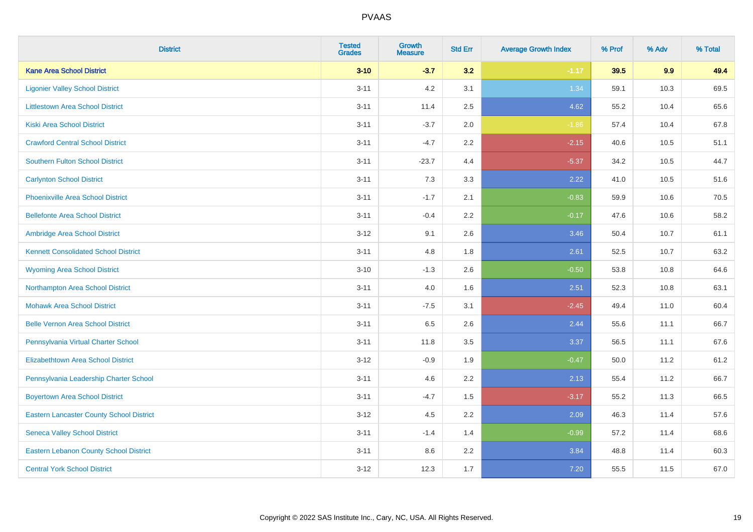| <b>District</b>                                 | <b>Tested</b><br><b>Grades</b> | <b>Growth</b><br><b>Measure</b> | <b>Std Err</b> | <b>Average Growth Index</b> | % Prof | % Adv | % Total |
|-------------------------------------------------|--------------------------------|---------------------------------|----------------|-----------------------------|--------|-------|---------|
| <b>Kane Area School District</b>                | $3 - 10$                       | $-3.7$                          | 3.2            | $-1.17$                     | 39.5   | 9.9   | 49.4    |
| <b>Ligonier Valley School District</b>          | $3 - 11$                       | 4.2                             | 3.1            | 1.34                        | 59.1   | 10.3  | 69.5    |
| <b>Littlestown Area School District</b>         | $3 - 11$                       | 11.4                            | 2.5            | 4.62                        | 55.2   | 10.4  | 65.6    |
| <b>Kiski Area School District</b>               | $3 - 11$                       | $-3.7$                          | 2.0            | $-1.86$                     | 57.4   | 10.4  | 67.8    |
| <b>Crawford Central School District</b>         | $3 - 11$                       | $-4.7$                          | 2.2            | $-2.15$                     | 40.6   | 10.5  | 51.1    |
| <b>Southern Fulton School District</b>          | $3 - 11$                       | $-23.7$                         | 4.4            | $-5.37$                     | 34.2   | 10.5  | 44.7    |
| <b>Carlynton School District</b>                | $3 - 11$                       | 7.3                             | 3.3            | 2.22                        | 41.0   | 10.5  | 51.6    |
| <b>Phoenixville Area School District</b>        | $3 - 11$                       | $-1.7$                          | 2.1            | $-0.83$                     | 59.9   | 10.6  | 70.5    |
| <b>Bellefonte Area School District</b>          | $3 - 11$                       | $-0.4$                          | $2.2^{\circ}$  | $-0.17$                     | 47.6   | 10.6  | 58.2    |
| Ambridge Area School District                   | $3-12$                         | 9.1                             | 2.6            | 3.46                        | 50.4   | 10.7  | 61.1    |
| <b>Kennett Consolidated School District</b>     | $3 - 11$                       | 4.8                             | 1.8            | 2.61                        | 52.5   | 10.7  | 63.2    |
| <b>Wyoming Area School District</b>             | $3 - 10$                       | $-1.3$                          | 2.6            | $-0.50$                     | 53.8   | 10.8  | 64.6    |
| Northampton Area School District                | $3 - 11$                       | 4.0                             | 1.6            | 2.51                        | 52.3   | 10.8  | 63.1    |
| <b>Mohawk Area School District</b>              | $3 - 11$                       | $-7.5$                          | 3.1            | $-2.45$                     | 49.4   | 11.0  | 60.4    |
| <b>Belle Vernon Area School District</b>        | $3 - 11$                       | 6.5                             | 2.6            | 2.44                        | 55.6   | 11.1  | 66.7    |
| Pennsylvania Virtual Charter School             | $3 - 11$                       | 11.8                            | 3.5            | 3.37                        | 56.5   | 11.1  | 67.6    |
| <b>Elizabethtown Area School District</b>       | $3-12$                         | $-0.9$                          | 1.9            | $-0.47$                     | 50.0   | 11.2  | 61.2    |
| Pennsylvania Leadership Charter School          | $3 - 11$                       | 4.6                             | 2.2            | 2.13                        | 55.4   | 11.2  | 66.7    |
| <b>Boyertown Area School District</b>           | $3 - 11$                       | $-4.7$                          | 1.5            | $-3.17$                     | 55.2   | 11.3  | 66.5    |
| <b>Eastern Lancaster County School District</b> | $3 - 12$                       | 4.5                             | 2.2            | 2.09                        | 46.3   | 11.4  | 57.6    |
| <b>Seneca Valley School District</b>            | $3 - 11$                       | $-1.4$                          | 1.4            | $-0.99$                     | 57.2   | 11.4  | 68.6    |
| <b>Eastern Lebanon County School District</b>   | $3 - 11$                       | 8.6                             | 2.2            | 3.84                        | 48.8   | 11.4  | 60.3    |
| <b>Central York School District</b>             | $3 - 12$                       | 12.3                            | 1.7            | 7.20                        | 55.5   | 11.5  | 67.0    |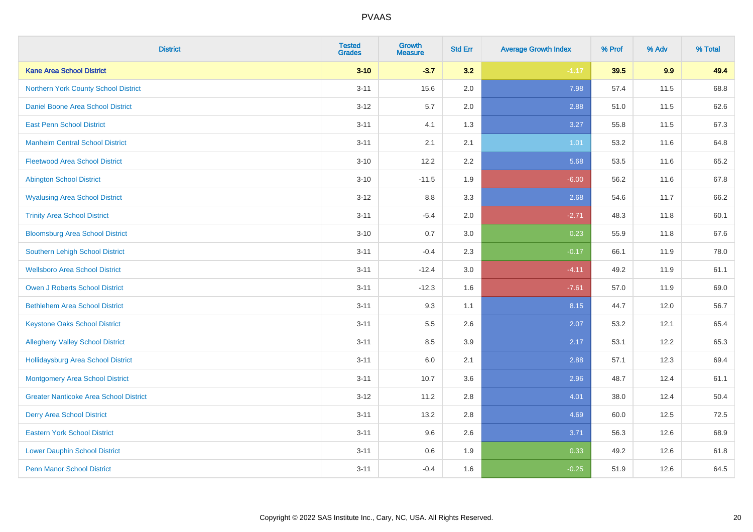| <b>District</b>                               | <b>Tested</b><br><b>Grades</b> | <b>Growth</b><br><b>Measure</b> | <b>Std Err</b> | <b>Average Growth Index</b> | % Prof | % Adv | % Total |
|-----------------------------------------------|--------------------------------|---------------------------------|----------------|-----------------------------|--------|-------|---------|
| <b>Kane Area School District</b>              | $3 - 10$                       | $-3.7$                          | 3.2            | $-1.17$                     | 39.5   | 9.9   | 49.4    |
| <b>Northern York County School District</b>   | $3 - 11$                       | 15.6                            | 2.0            | 7.98                        | 57.4   | 11.5  | 68.8    |
| Daniel Boone Area School District             | $3 - 12$                       | 5.7                             | 2.0            | 2.88                        | 51.0   | 11.5  | 62.6    |
| <b>East Penn School District</b>              | $3 - 11$                       | 4.1                             | 1.3            | 3.27                        | 55.8   | 11.5  | 67.3    |
| <b>Manheim Central School District</b>        | $3 - 11$                       | 2.1                             | 2.1            | 1.01                        | 53.2   | 11.6  | 64.8    |
| <b>Fleetwood Area School District</b>         | $3 - 10$                       | 12.2                            | 2.2            | 5.68                        | 53.5   | 11.6  | 65.2    |
| <b>Abington School District</b>               | $3 - 10$                       | $-11.5$                         | 1.9            | $-6.00$                     | 56.2   | 11.6  | 67.8    |
| <b>Wyalusing Area School District</b>         | $3 - 12$                       | $8.8\,$                         | 3.3            | 2.68                        | 54.6   | 11.7  | 66.2    |
| <b>Trinity Area School District</b>           | $3 - 11$                       | $-5.4$                          | 2.0            | $-2.71$                     | 48.3   | 11.8  | 60.1    |
| <b>Bloomsburg Area School District</b>        | $3 - 10$                       | 0.7                             | 3.0            | 0.23                        | 55.9   | 11.8  | 67.6    |
| Southern Lehigh School District               | $3 - 11$                       | $-0.4$                          | 2.3            | $-0.17$                     | 66.1   | 11.9  | 78.0    |
| <b>Wellsboro Area School District</b>         | $3 - 11$                       | $-12.4$                         | 3.0            | $-4.11$                     | 49.2   | 11.9  | 61.1    |
| <b>Owen J Roberts School District</b>         | $3 - 11$                       | $-12.3$                         | 1.6            | $-7.61$                     | 57.0   | 11.9  | 69.0    |
| <b>Bethlehem Area School District</b>         | $3 - 11$                       | 9.3                             | 1.1            | 8.15                        | 44.7   | 12.0  | 56.7    |
| <b>Keystone Oaks School District</b>          | $3 - 11$                       | 5.5                             | 2.6            | 2.07                        | 53.2   | 12.1  | 65.4    |
| <b>Allegheny Valley School District</b>       | $3 - 11$                       | 8.5                             | 3.9            | 2.17                        | 53.1   | 12.2  | 65.3    |
| <b>Hollidaysburg Area School District</b>     | $3 - 11$                       | 6.0                             | 2.1            | 2.88                        | 57.1   | 12.3  | 69.4    |
| <b>Montgomery Area School District</b>        | $3 - 11$                       | 10.7                            | 3.6            | 2.96                        | 48.7   | 12.4  | 61.1    |
| <b>Greater Nanticoke Area School District</b> | $3 - 12$                       | 11.2                            | 2.8            | 4.01                        | 38.0   | 12.4  | 50.4    |
| <b>Derry Area School District</b>             | $3 - 11$                       | 13.2                            | 2.8            | 4.69                        | 60.0   | 12.5  | 72.5    |
| <b>Eastern York School District</b>           | $3 - 11$                       | 9.6                             | 2.6            | 3.71                        | 56.3   | 12.6  | 68.9    |
| <b>Lower Dauphin School District</b>          | $3 - 11$                       | 0.6                             | 1.9            | 0.33                        | 49.2   | 12.6  | 61.8    |
| <b>Penn Manor School District</b>             | $3 - 11$                       | $-0.4$                          | 1.6            | $-0.25$                     | 51.9   | 12.6  | 64.5    |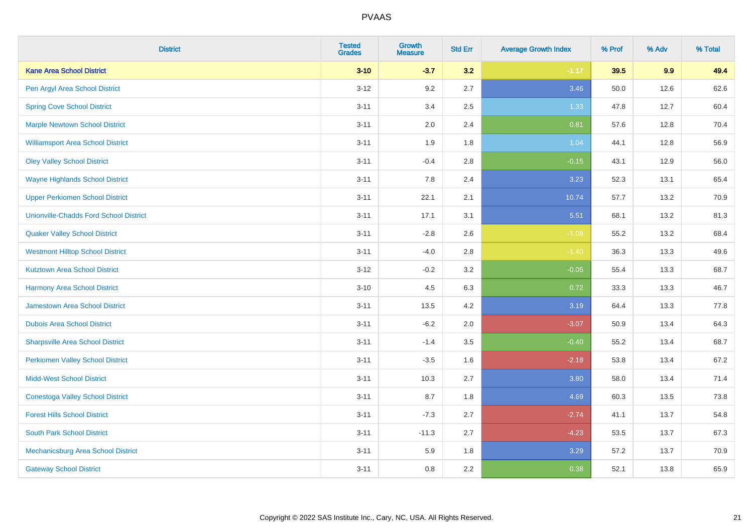| <b>District</b>                               | <b>Tested</b><br><b>Grades</b> | Growth<br><b>Measure</b> | <b>Std Err</b> | <b>Average Growth Index</b> | % Prof | % Adv | % Total |
|-----------------------------------------------|--------------------------------|--------------------------|----------------|-----------------------------|--------|-------|---------|
| <b>Kane Area School District</b>              | $3 - 10$                       | $-3.7$                   | 3.2            | $-1.17$                     | 39.5   | 9.9   | 49.4    |
| Pen Argyl Area School District                | $3 - 12$                       | 9.2                      | 2.7            | 3.46                        | 50.0   | 12.6  | 62.6    |
| <b>Spring Cove School District</b>            | $3 - 11$                       | 3.4                      | 2.5            | 1.33                        | 47.8   | 12.7  | 60.4    |
| <b>Marple Newtown School District</b>         | $3 - 11$                       | 2.0                      | 2.4            | 0.81                        | 57.6   | 12.8  | 70.4    |
| <b>Williamsport Area School District</b>      | $3 - 11$                       | 1.9                      | 1.8            | 1.04                        | 44.1   | 12.8  | 56.9    |
| <b>Oley Valley School District</b>            | $3 - 11$                       | $-0.4$                   | 2.8            | $-0.15$                     | 43.1   | 12.9  | 56.0    |
| <b>Wayne Highlands School District</b>        | $3 - 11$                       | 7.8                      | 2.4            | 3.23                        | 52.3   | 13.1  | 65.4    |
| <b>Upper Perkiomen School District</b>        | $3 - 11$                       | 22.1                     | 2.1            | 10.74                       | 57.7   | 13.2  | 70.9    |
| <b>Unionville-Chadds Ford School District</b> | $3 - 11$                       | 17.1                     | 3.1            | 5.51                        | 68.1   | 13.2  | 81.3    |
| <b>Quaker Valley School District</b>          | $3 - 11$                       | $-2.8$                   | 2.6            | $-1.08$                     | 55.2   | 13.2  | 68.4    |
| <b>Westmont Hilltop School District</b>       | $3 - 11$                       | $-4.0$                   | 2.8            | $-1.40$                     | 36.3   | 13.3  | 49.6    |
| <b>Kutztown Area School District</b>          | $3 - 12$                       | $-0.2$                   | 3.2            | $-0.05$                     | 55.4   | 13.3  | 68.7    |
| <b>Harmony Area School District</b>           | $3 - 10$                       | 4.5                      | 6.3            | 0.72                        | 33.3   | 13.3  | 46.7    |
| <b>Jamestown Area School District</b>         | $3 - 11$                       | 13.5                     | 4.2            | 3.19                        | 64.4   | 13.3  | 77.8    |
| <b>Dubois Area School District</b>            | $3 - 11$                       | $-6.2$                   | 2.0            | $-3.07$                     | 50.9   | 13.4  | 64.3    |
| <b>Sharpsville Area School District</b>       | $3 - 11$                       | $-1.4$                   | 3.5            | $-0.40$                     | 55.2   | 13.4  | 68.7    |
| <b>Perkiomen Valley School District</b>       | $3 - 11$                       | $-3.5$                   | 1.6            | $-2.18$                     | 53.8   | 13.4  | 67.2    |
| <b>Midd-West School District</b>              | $3 - 11$                       | 10.3                     | 2.7            | 3.80                        | 58.0   | 13.4  | 71.4    |
| <b>Conestoga Valley School District</b>       | $3 - 11$                       | 8.7                      | 1.8            | 4.69                        | 60.3   | 13.5  | 73.8    |
| <b>Forest Hills School District</b>           | $3 - 11$                       | $-7.3$                   | 2.7            | $-2.74$                     | 41.1   | 13.7  | 54.8    |
| <b>South Park School District</b>             | $3 - 11$                       | $-11.3$                  | 2.7            | $-4.23$                     | 53.5   | 13.7  | 67.3    |
| Mechanicsburg Area School District            | $3 - 11$                       | 5.9                      | 1.8            | 3.29                        | 57.2   | 13.7  | 70.9    |
| <b>Gateway School District</b>                | $3 - 11$                       | 0.8                      | 2.2            | 0.38                        | 52.1   | 13.8  | 65.9    |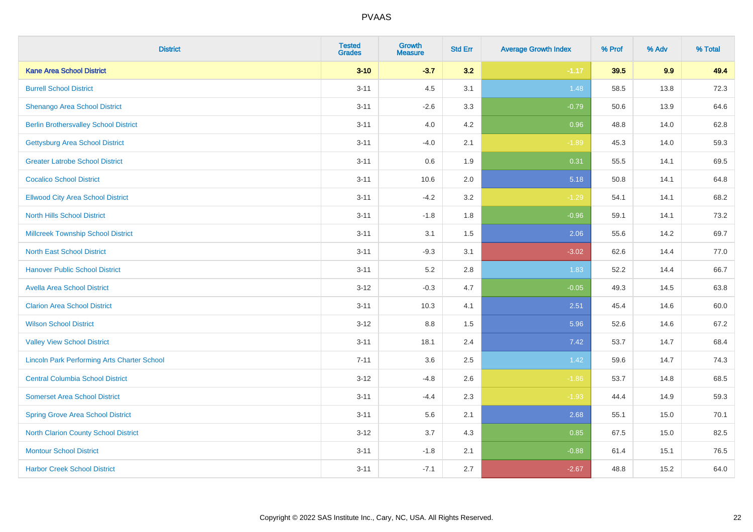| <b>District</b>                                    | <b>Tested</b><br><b>Grades</b> | <b>Growth</b><br><b>Measure</b> | <b>Std Err</b> | <b>Average Growth Index</b> | % Prof | % Adv | % Total |
|----------------------------------------------------|--------------------------------|---------------------------------|----------------|-----------------------------|--------|-------|---------|
| <b>Kane Area School District</b>                   | $3 - 10$                       | $-3.7$                          | 3.2            | $-1.17$                     | 39.5   | 9.9   | 49.4    |
| <b>Burrell School District</b>                     | $3 - 11$                       | 4.5                             | 3.1            | 1.48                        | 58.5   | 13.8  | 72.3    |
| Shenango Area School District                      | $3 - 11$                       | $-2.6$                          | 3.3            | $-0.79$                     | 50.6   | 13.9  | 64.6    |
| <b>Berlin Brothersvalley School District</b>       | $3 - 11$                       | 4.0                             | 4.2            | 0.96                        | 48.8   | 14.0  | 62.8    |
| <b>Gettysburg Area School District</b>             | $3 - 11$                       | $-4.0$                          | 2.1            | $-1.89$                     | 45.3   | 14.0  | 59.3    |
| <b>Greater Latrobe School District</b>             | $3 - 11$                       | 0.6                             | 1.9            | 0.31                        | 55.5   | 14.1  | 69.5    |
| <b>Cocalico School District</b>                    | $3 - 11$                       | 10.6                            | 2.0            | 5.18                        | 50.8   | 14.1  | 64.8    |
| <b>Ellwood City Area School District</b>           | $3 - 11$                       | $-4.2$                          | 3.2            | $-1.29$                     | 54.1   | 14.1  | 68.2    |
| <b>North Hills School District</b>                 | $3 - 11$                       | $-1.8$                          | 1.8            | $-0.96$                     | 59.1   | 14.1  | 73.2    |
| <b>Millcreek Township School District</b>          | $3 - 11$                       | 3.1                             | 1.5            | 2.06                        | 55.6   | 14.2  | 69.7    |
| <b>North East School District</b>                  | $3 - 11$                       | $-9.3$                          | 3.1            | $-3.02$                     | 62.6   | 14.4  | 77.0    |
| <b>Hanover Public School District</b>              | $3 - 11$                       | 5.2                             | 2.8            | 1.83                        | 52.2   | 14.4  | 66.7    |
| <b>Avella Area School District</b>                 | $3 - 12$                       | $-0.3$                          | 4.7            | $-0.05$                     | 49.3   | 14.5  | 63.8    |
| <b>Clarion Area School District</b>                | $3 - 11$                       | 10.3                            | 4.1            | 2.51                        | 45.4   | 14.6  | 60.0    |
| <b>Wilson School District</b>                      | $3 - 12$                       | $8.8\,$                         | 1.5            | 5.96                        | 52.6   | 14.6  | 67.2    |
| <b>Valley View School District</b>                 | $3 - 11$                       | 18.1                            | 2.4            | 7.42                        | 53.7   | 14.7  | 68.4    |
| <b>Lincoln Park Performing Arts Charter School</b> | $7 - 11$                       | 3.6                             | 2.5            | 1.42                        | 59.6   | 14.7  | 74.3    |
| <b>Central Columbia School District</b>            | $3 - 12$                       | $-4.8$                          | 2.6            | $-1.86$                     | 53.7   | 14.8  | 68.5    |
| <b>Somerset Area School District</b>               | $3 - 11$                       | $-4.4$                          | 2.3            | $-1.93$                     | 44.4   | 14.9  | 59.3    |
| <b>Spring Grove Area School District</b>           | $3 - 11$                       | 5.6                             | 2.1            | 2.68                        | 55.1   | 15.0  | 70.1    |
| <b>North Clarion County School District</b>        | $3 - 12$                       | 3.7                             | 4.3            | 0.85                        | 67.5   | 15.0  | 82.5    |
| <b>Montour School District</b>                     | $3 - 11$                       | $-1.8$                          | 2.1            | $-0.88$                     | 61.4   | 15.1  | 76.5    |
| <b>Harbor Creek School District</b>                | $3 - 11$                       | $-7.1$                          | 2.7            | $-2.67$                     | 48.8   | 15.2  | 64.0    |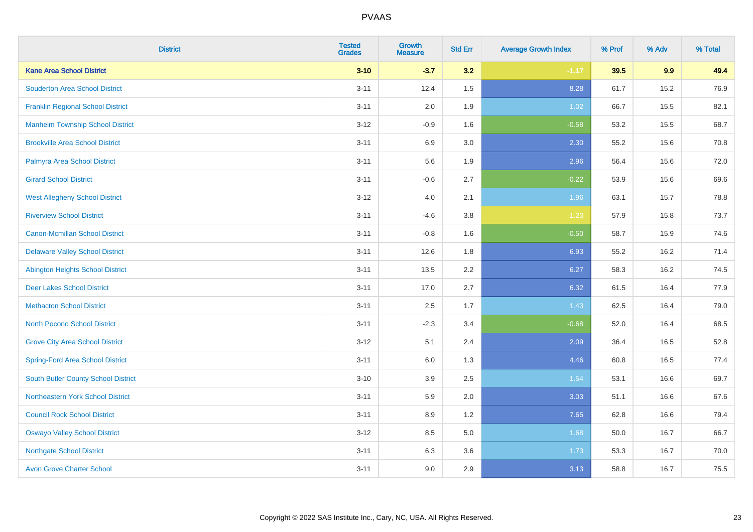| <b>District</b>                            | <b>Tested</b><br><b>Grades</b> | Growth<br><b>Measure</b> | <b>Std Err</b> | <b>Average Growth Index</b> | % Prof | % Adv | % Total |
|--------------------------------------------|--------------------------------|--------------------------|----------------|-----------------------------|--------|-------|---------|
| <b>Kane Area School District</b>           | $3 - 10$                       | $-3.7$                   | 3.2            | $-1.17$                     | 39.5   | 9.9   | 49.4    |
| <b>Souderton Area School District</b>      | $3 - 11$                       | 12.4                     | 1.5            | 8.28                        | 61.7   | 15.2  | 76.9    |
| <b>Franklin Regional School District</b>   | $3 - 11$                       | 2.0                      | 1.9            | 1.02                        | 66.7   | 15.5  | 82.1    |
| <b>Manheim Township School District</b>    | $3 - 12$                       | $-0.9$                   | 1.6            | $-0.58$                     | 53.2   | 15.5  | 68.7    |
| <b>Brookville Area School District</b>     | $3 - 11$                       | 6.9                      | 3.0            | 2.30                        | 55.2   | 15.6  | 70.8    |
| Palmyra Area School District               | $3 - 11$                       | 5.6                      | 1.9            | 2.96                        | 56.4   | 15.6  | 72.0    |
| <b>Girard School District</b>              | $3 - 11$                       | $-0.6$                   | 2.7            | $-0.22$                     | 53.9   | 15.6  | 69.6    |
| <b>West Allegheny School District</b>      | $3 - 12$                       | $4.0\,$                  | 2.1            | 1.96                        | 63.1   | 15.7  | 78.8    |
| <b>Riverview School District</b>           | $3 - 11$                       | $-4.6$                   | 3.8            | $-1.20$                     | 57.9   | 15.8  | 73.7    |
| <b>Canon-Mcmillan School District</b>      | $3 - 11$                       | $-0.8$                   | 1.6            | $-0.50$                     | 58.7   | 15.9  | 74.6    |
| <b>Delaware Valley School District</b>     | $3 - 11$                       | 12.6                     | 1.8            | 6.93                        | 55.2   | 16.2  | 71.4    |
| <b>Abington Heights School District</b>    | $3 - 11$                       | 13.5                     | 2.2            | 6.27                        | 58.3   | 16.2  | 74.5    |
| <b>Deer Lakes School District</b>          | $3 - 11$                       | 17.0                     | 2.7            | 6.32                        | 61.5   | 16.4  | 77.9    |
| <b>Methacton School District</b>           | $3 - 11$                       | 2.5                      | 1.7            | 1.43                        | 62.5   | 16.4  | 79.0    |
| <b>North Pocono School District</b>        | $3 - 11$                       | $-2.3$                   | 3.4            | $-0.68$                     | 52.0   | 16.4  | 68.5    |
| <b>Grove City Area School District</b>     | $3 - 12$                       | 5.1                      | 2.4            | 2.09                        | 36.4   | 16.5  | 52.8    |
| <b>Spring-Ford Area School District</b>    | $3 - 11$                       | 6.0                      | 1.3            | 4.46                        | 60.8   | 16.5  | 77.4    |
| <b>South Butler County School District</b> | $3 - 10$                       | 3.9                      | 2.5            | 1.54                        | 53.1   | 16.6  | 69.7    |
| Northeastern York School District          | $3 - 11$                       | 5.9                      | 2.0            | 3.03                        | 51.1   | 16.6  | 67.6    |
| <b>Council Rock School District</b>        | $3 - 11$                       | 8.9                      | 1.2            | 7.65                        | 62.8   | 16.6  | 79.4    |
| <b>Oswayo Valley School District</b>       | $3 - 12$                       | 8.5                      | 5.0            | 1.68                        | 50.0   | 16.7  | 66.7    |
| <b>Northgate School District</b>           | $3 - 11$                       | 6.3                      | 3.6            | 1.73                        | 53.3   | 16.7  | 70.0    |
| <b>Avon Grove Charter School</b>           | $3 - 11$                       | 9.0                      | 2.9            | 3.13                        | 58.8   | 16.7  | 75.5    |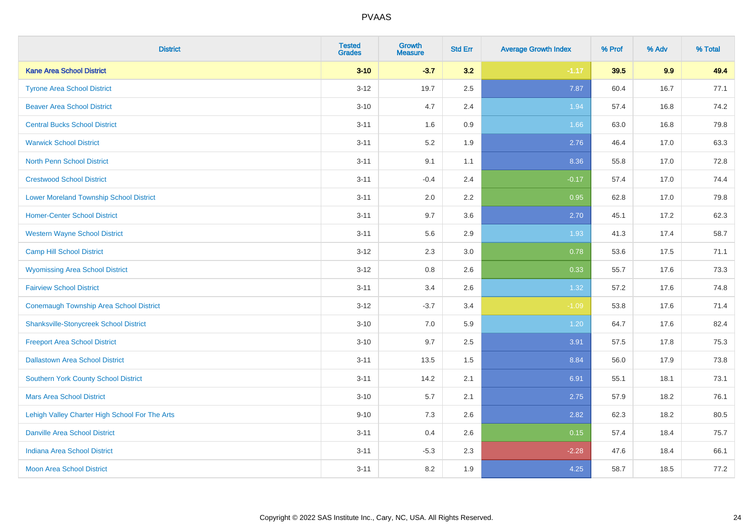| <b>District</b>                                | <b>Tested</b><br><b>Grades</b> | <b>Growth</b><br><b>Measure</b> | <b>Std Err</b> | <b>Average Growth Index</b> | % Prof | % Adv | % Total |
|------------------------------------------------|--------------------------------|---------------------------------|----------------|-----------------------------|--------|-------|---------|
| <b>Kane Area School District</b>               | $3 - 10$                       | $-3.7$                          | 3.2            | $-1.17$                     | 39.5   | 9.9   | 49.4    |
| <b>Tyrone Area School District</b>             | $3 - 12$                       | 19.7                            | 2.5            | 7.87                        | 60.4   | 16.7  | 77.1    |
| <b>Beaver Area School District</b>             | $3 - 10$                       | 4.7                             | 2.4            | 1.94                        | 57.4   | 16.8  | 74.2    |
| <b>Central Bucks School District</b>           | $3 - 11$                       | 1.6                             | $0.9\,$        | 1.66                        | 63.0   | 16.8  | 79.8    |
| <b>Warwick School District</b>                 | $3 - 11$                       | 5.2                             | 1.9            | 2.76                        | 46.4   | 17.0  | 63.3    |
| <b>North Penn School District</b>              | $3 - 11$                       | 9.1                             | 1.1            | 8.36                        | 55.8   | 17.0  | 72.8    |
| <b>Crestwood School District</b>               | $3 - 11$                       | $-0.4$                          | 2.4            | $-0.17$                     | 57.4   | 17.0  | 74.4    |
| <b>Lower Moreland Township School District</b> | $3 - 11$                       | 2.0                             | 2.2            | 0.95                        | 62.8   | 17.0  | 79.8    |
| <b>Homer-Center School District</b>            | $3 - 11$                       | 9.7                             | 3.6            | 2.70                        | 45.1   | 17.2  | 62.3    |
| <b>Western Wayne School District</b>           | $3 - 11$                       | 5.6                             | 2.9            | 1.93                        | 41.3   | 17.4  | 58.7    |
| <b>Camp Hill School District</b>               | $3 - 12$                       | 2.3                             | 3.0            | 0.78                        | 53.6   | 17.5  | 71.1    |
| <b>Wyomissing Area School District</b>         | $3 - 12$                       | 0.8                             | 2.6            | 0.33                        | 55.7   | 17.6  | 73.3    |
| <b>Fairview School District</b>                | $3 - 11$                       | 3.4                             | 2.6            | 1.32                        | 57.2   | 17.6  | 74.8    |
| <b>Conemaugh Township Area School District</b> | $3 - 12$                       | $-3.7$                          | 3.4            | $-1.09$                     | 53.8   | 17.6  | 71.4    |
| <b>Shanksville-Stonycreek School District</b>  | $3 - 10$                       | 7.0                             | 5.9            | 1.20                        | 64.7   | 17.6  | 82.4    |
| <b>Freeport Area School District</b>           | $3 - 10$                       | 9.7                             | 2.5            | 3.91                        | 57.5   | 17.8  | 75.3    |
| <b>Dallastown Area School District</b>         | $3 - 11$                       | 13.5                            | 1.5            | 8.84                        | 56.0   | 17.9  | 73.8    |
| Southern York County School District           | $3 - 11$                       | 14.2                            | 2.1            | 6.91                        | 55.1   | 18.1  | 73.1    |
| <b>Mars Area School District</b>               | $3 - 10$                       | 5.7                             | 2.1            | 2.75                        | 57.9   | 18.2  | 76.1    |
| Lehigh Valley Charter High School For The Arts | $9 - 10$                       | 7.3                             | 2.6            | 2.82                        | 62.3   | 18.2  | 80.5    |
| <b>Danville Area School District</b>           | $3 - 11$                       | 0.4                             | 2.6            | 0.15                        | 57.4   | 18.4  | 75.7    |
| <b>Indiana Area School District</b>            | $3 - 11$                       | $-5.3$                          | 2.3            | $-2.28$                     | 47.6   | 18.4  | 66.1    |
| <b>Moon Area School District</b>               | $3 - 11$                       | 8.2                             | 1.9            | 4.25                        | 58.7   | 18.5  | 77.2    |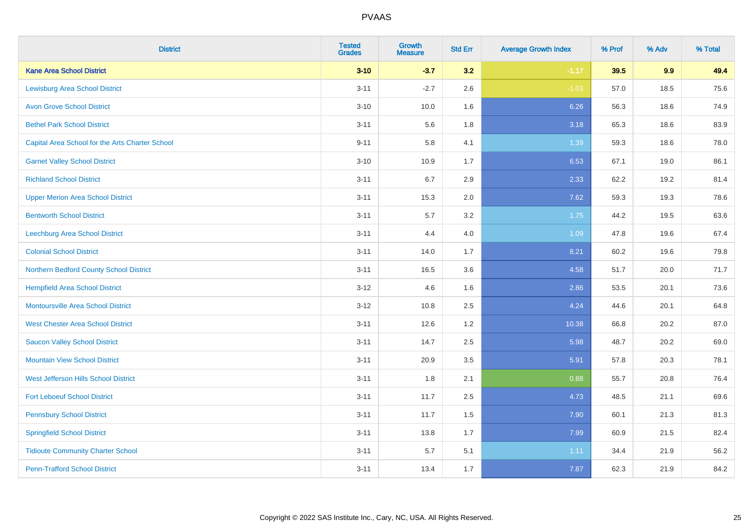| <b>District</b>                                 | <b>Tested</b><br><b>Grades</b> | <b>Growth</b><br><b>Measure</b> | <b>Std Err</b> | <b>Average Growth Index</b> | % Prof | % Adv | % Total |
|-------------------------------------------------|--------------------------------|---------------------------------|----------------|-----------------------------|--------|-------|---------|
| <b>Kane Area School District</b>                | $3 - 10$                       | $-3.7$                          | 3.2            | $-1.17$                     | 39.5   | 9.9   | 49.4    |
| <b>Lewisburg Area School District</b>           | $3 - 11$                       | $-2.7$                          | 2.6            | $-1.03$                     | 57.0   | 18.5  | 75.6    |
| <b>Avon Grove School District</b>               | $3 - 10$                       | 10.0                            | 1.6            | 6.26                        | 56.3   | 18.6  | 74.9    |
| <b>Bethel Park School District</b>              | $3 - 11$                       | 5.6                             | 1.8            | 3.18                        | 65.3   | 18.6  | 83.9    |
| Capital Area School for the Arts Charter School | $9 - 11$                       | 5.8                             | 4.1            | 1.39                        | 59.3   | 18.6  | 78.0    |
| <b>Garnet Valley School District</b>            | $3 - 10$                       | 10.9                            | 1.7            | 6.53                        | 67.1   | 19.0  | 86.1    |
| <b>Richland School District</b>                 | $3 - 11$                       | 6.7                             | 2.9            | 2.33                        | 62.2   | 19.2  | 81.4    |
| <b>Upper Merion Area School District</b>        | $3 - 11$                       | 15.3                            | 2.0            | 7.62                        | 59.3   | 19.3  | 78.6    |
| <b>Bentworth School District</b>                | $3 - 11$                       | 5.7                             | 3.2            | 1.75                        | 44.2   | 19.5  | 63.6    |
| Leechburg Area School District                  | $3 - 11$                       | 4.4                             | 4.0            | 1.09                        | 47.8   | 19.6  | 67.4    |
| <b>Colonial School District</b>                 | $3 - 11$                       | 14.0                            | 1.7            | 8.21                        | 60.2   | 19.6  | 79.8    |
| Northern Bedford County School District         | $3 - 11$                       | 16.5                            | 3.6            | 4.58                        | 51.7   | 20.0  | 71.7    |
| <b>Hempfield Area School District</b>           | $3 - 12$                       | 4.6                             | 1.6            | 2.86                        | 53.5   | 20.1  | 73.6    |
| <b>Montoursville Area School District</b>       | $3 - 12$                       | 10.8                            | 2.5            | 4.24                        | 44.6   | 20.1  | 64.8    |
| <b>West Chester Area School District</b>        | $3 - 11$                       | 12.6                            | 1.2            | 10.38                       | 66.8   | 20.2  | 87.0    |
| <b>Saucon Valley School District</b>            | $3 - 11$                       | 14.7                            | 2.5            | 5.98                        | 48.7   | 20.2  | 69.0    |
| <b>Mountain View School District</b>            | $3 - 11$                       | 20.9                            | 3.5            | 5.91                        | 57.8   | 20.3  | 78.1    |
| West Jefferson Hills School District            | $3 - 11$                       | 1.8                             | 2.1            | 0.88                        | 55.7   | 20.8  | 76.4    |
| <b>Fort Leboeuf School District</b>             | $3 - 11$                       | 11.7                            | 2.5            | 4.73                        | 48.5   | 21.1  | 69.6    |
| <b>Pennsbury School District</b>                | $3 - 11$                       | 11.7                            | 1.5            | 7.90                        | 60.1   | 21.3  | 81.3    |
| <b>Springfield School District</b>              | $3 - 11$                       | 13.8                            | 1.7            | 7.99                        | 60.9   | 21.5  | 82.4    |
| <b>Tidioute Community Charter School</b>        | $3 - 11$                       | 5.7                             | 5.1            | 1.11                        | 34.4   | 21.9  | 56.2    |
| <b>Penn-Trafford School District</b>            | $3 - 11$                       | 13.4                            | 1.7            | 7.87                        | 62.3   | 21.9  | 84.2    |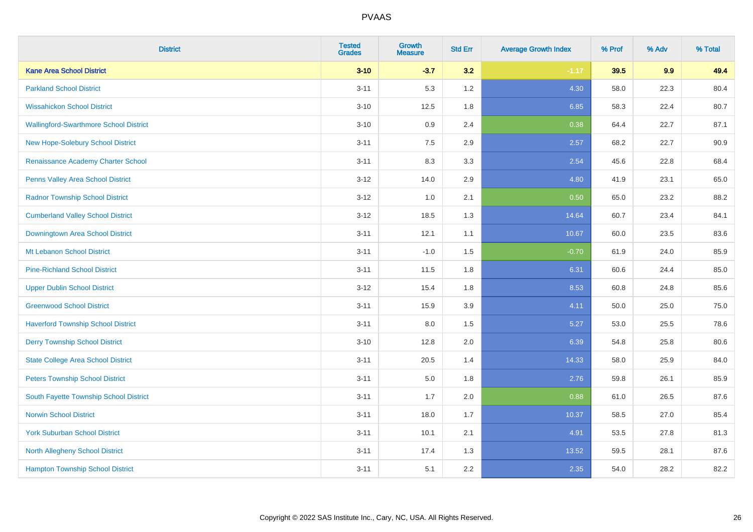| <b>District</b>                               | <b>Tested</b><br><b>Grades</b> | <b>Growth</b><br><b>Measure</b> | <b>Std Err</b> | <b>Average Growth Index</b> | % Prof | % Adv | % Total |
|-----------------------------------------------|--------------------------------|---------------------------------|----------------|-----------------------------|--------|-------|---------|
| <b>Kane Area School District</b>              | $3 - 10$                       | $-3.7$                          | 3.2            | $-1.17$                     | 39.5   | 9.9   | 49.4    |
| <b>Parkland School District</b>               | $3 - 11$                       | 5.3                             | $1.2\,$        | 4.30                        | 58.0   | 22.3  | 80.4    |
| <b>Wissahickon School District</b>            | $3 - 10$                       | 12.5                            | 1.8            | 6.85                        | 58.3   | 22.4  | 80.7    |
| <b>Wallingford-Swarthmore School District</b> | $3 - 10$                       | 0.9                             | 2.4            | 0.38                        | 64.4   | 22.7  | 87.1    |
| New Hope-Solebury School District             | $3 - 11$                       | 7.5                             | 2.9            | 2.57                        | 68.2   | 22.7  | 90.9    |
| Renaissance Academy Charter School            | $3 - 11$                       | 8.3                             | 3.3            | 2.54                        | 45.6   | 22.8  | 68.4    |
| Penns Valley Area School District             | $3 - 12$                       | 14.0                            | 2.9            | 4.80                        | 41.9   | 23.1  | 65.0    |
| <b>Radnor Township School District</b>        | $3 - 12$                       | 1.0                             | 2.1            | 0.50                        | 65.0   | 23.2  | 88.2    |
| <b>Cumberland Valley School District</b>      | $3 - 12$                       | 18.5                            | 1.3            | 14.64                       | 60.7   | 23.4  | 84.1    |
| Downingtown Area School District              | $3 - 11$                       | 12.1                            | 1.1            | 10.67                       | 60.0   | 23.5  | 83.6    |
| Mt Lebanon School District                    | $3 - 11$                       | $-1.0$                          | 1.5            | $-0.70$                     | 61.9   | 24.0  | 85.9    |
| <b>Pine-Richland School District</b>          | $3 - 11$                       | 11.5                            | 1.8            | 6.31                        | 60.6   | 24.4  | 85.0    |
| <b>Upper Dublin School District</b>           | $3 - 12$                       | 15.4                            | 1.8            | 8.53                        | 60.8   | 24.8  | 85.6    |
| <b>Greenwood School District</b>              | $3 - 11$                       | 15.9                            | 3.9            | 4.11                        | 50.0   | 25.0  | 75.0    |
| <b>Haverford Township School District</b>     | $3 - 11$                       | 8.0                             | 1.5            | 5.27                        | 53.0   | 25.5  | 78.6    |
| <b>Derry Township School District</b>         | $3 - 10$                       | 12.8                            | 2.0            | 6.39                        | 54.8   | 25.8  | 80.6    |
| <b>State College Area School District</b>     | $3 - 11$                       | 20.5                            | 1.4            | 14.33                       | 58.0   | 25.9  | 84.0    |
| <b>Peters Township School District</b>        | $3 - 11$                       | 5.0                             | 1.8            | 2.76                        | 59.8   | 26.1  | 85.9    |
| South Fayette Township School District        | $3 - 11$                       | 1.7                             | 2.0            | 0.88                        | 61.0   | 26.5  | 87.6    |
| <b>Norwin School District</b>                 | $3 - 11$                       | 18.0                            | 1.7            | 10.37                       | 58.5   | 27.0  | 85.4    |
| <b>York Suburban School District</b>          | $3 - 11$                       | 10.1                            | 2.1            | 4.91                        | 53.5   | 27.8  | 81.3    |
| <b>North Allegheny School District</b>        | $3 - 11$                       | 17.4                            | 1.3            | 13.52                       | 59.5   | 28.1  | 87.6    |
| <b>Hampton Township School District</b>       | $3 - 11$                       | 5.1                             | 2.2            | 2.35                        | 54.0   | 28.2  | 82.2    |